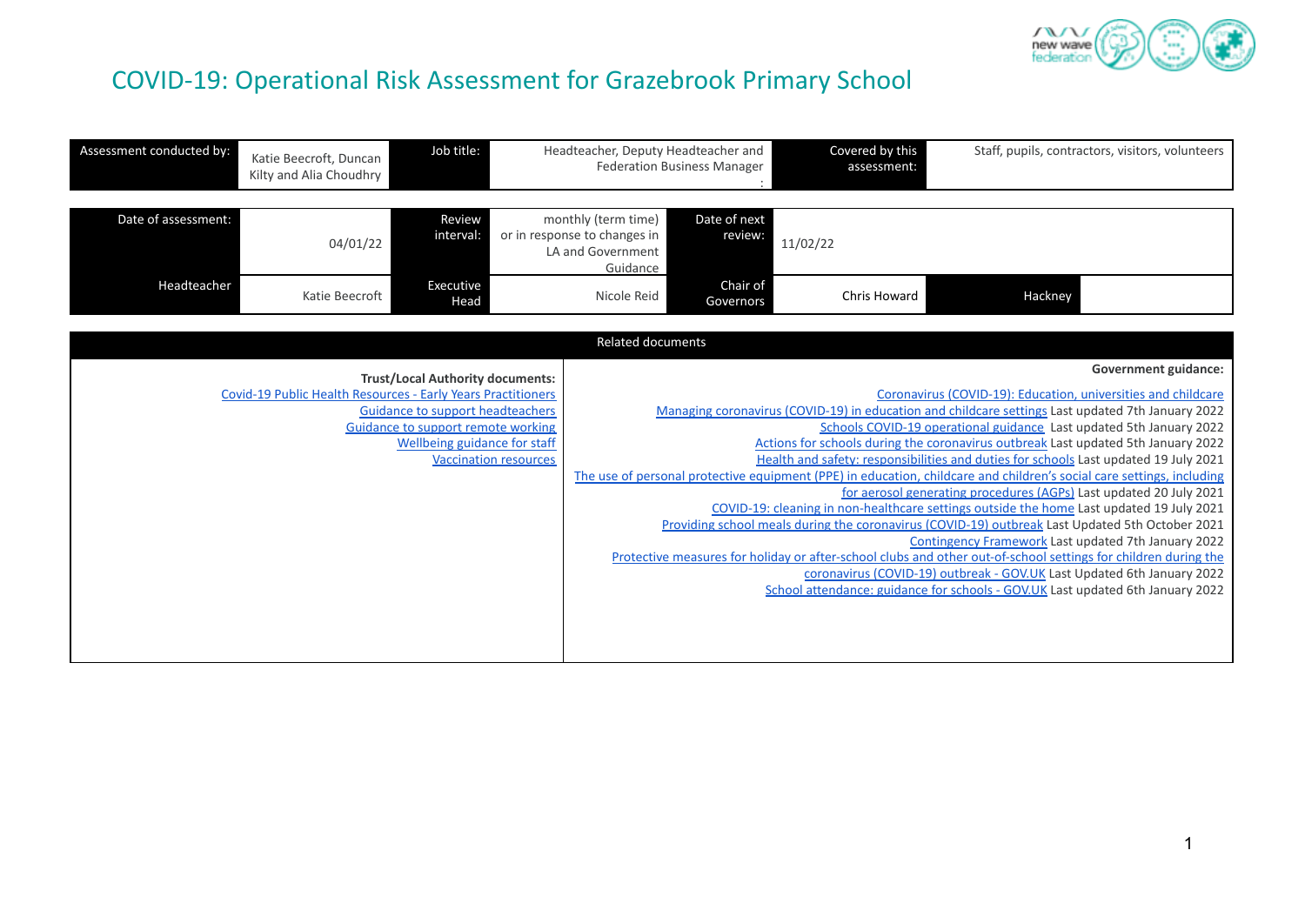

# COVID-19: Operational Risk Assessment for Grazebrook Primary School

| Assessment conducted by: | Katie Beecroft, Duncan<br>Kilty and Alia Choudhry            | Job title:                                                                                                           |                              | Headteacher, Deputy Headteacher and                                                                                                                                                                           | <b>Federation Business Manager</b> | Covered by this<br>assessment:                                                                                                                                                                                                                                                |                                                                                                                                              | Staff, pupils, contractors, visitors, volunteers |
|--------------------------|--------------------------------------------------------------|----------------------------------------------------------------------------------------------------------------------|------------------------------|---------------------------------------------------------------------------------------------------------------------------------------------------------------------------------------------------------------|------------------------------------|-------------------------------------------------------------------------------------------------------------------------------------------------------------------------------------------------------------------------------------------------------------------------------|----------------------------------------------------------------------------------------------------------------------------------------------|--------------------------------------------------|
| Date of assessment:      | 04/01/22                                                     | Review<br>interval:                                                                                                  |                              | monthly (term time)<br>or in response to changes in<br>LA and Government<br>Guidance                                                                                                                          | Date of next<br>review:            | 11/02/22                                                                                                                                                                                                                                                                      |                                                                                                                                              |                                                  |
| Headteacher              | Katie Beecroft                                               | Executive<br>Head                                                                                                    |                              | Nicole Reid                                                                                                                                                                                                   | Chair of<br>Governors              | Chris Howard                                                                                                                                                                                                                                                                  | Hackney                                                                                                                                      |                                                  |
|                          |                                                              |                                                                                                                      |                              | Related documents                                                                                                                                                                                             |                                    |                                                                                                                                                                                                                                                                               |                                                                                                                                              |                                                  |
|                          |                                                              | <b>Trust/Local Authority documents:</b>                                                                              |                              |                                                                                                                                                                                                               |                                    |                                                                                                                                                                                                                                                                               |                                                                                                                                              | <b>Government guidance:</b>                      |
|                          | Covid-19 Public Health Resources - Early Years Practitioners |                                                                                                                      |                              | Coronavirus (COVID-19): Education, universities and childcare                                                                                                                                                 |                                    |                                                                                                                                                                                                                                                                               |                                                                                                                                              |                                                  |
|                          |                                                              |                                                                                                                      |                              | Managing coronavirus (COVID-19) in education and childcare settings Last updated 7th January 2022<br>Schools COVID-19 operational guidance Last updated 5th January 2022                                      |                                    |                                                                                                                                                                                                                                                                               |                                                                                                                                              |                                                  |
|                          |                                                              |                                                                                                                      |                              | Actions for schools during the coronavirus outbreak Last updated 5th January 2022                                                                                                                             |                                    |                                                                                                                                                                                                                                                                               |                                                                                                                                              |                                                  |
|                          |                                                              |                                                                                                                      | <b>Vaccination resources</b> | Health and safety: responsibilities and duties for schools Last updated 19 July 2021<br>The use of personal protective equipment (PPE) in education, childcare and children's social care settings, including |                                    |                                                                                                                                                                                                                                                                               |                                                                                                                                              |                                                  |
|                          |                                                              |                                                                                                                      |                              |                                                                                                                                                                                                               |                                    |                                                                                                                                                                                                                                                                               |                                                                                                                                              |                                                  |
|                          |                                                              |                                                                                                                      |                              |                                                                                                                                                                                                               |                                    |                                                                                                                                                                                                                                                                               |                                                                                                                                              |                                                  |
|                          |                                                              |                                                                                                                      |                              |                                                                                                                                                                                                               |                                    |                                                                                                                                                                                                                                                                               |                                                                                                                                              |                                                  |
|                          |                                                              |                                                                                                                      |                              |                                                                                                                                                                                                               |                                    |                                                                                                                                                                                                                                                                               | Contingency Framework Last updated 7th January 2022                                                                                          |                                                  |
|                          |                                                              |                                                                                                                      |                              |                                                                                                                                                                                                               |                                    | Protective measures for holiday or after-school clubs and other out-of-school settings for children during the                                                                                                                                                                |                                                                                                                                              |                                                  |
|                          |                                                              |                                                                                                                      |                              |                                                                                                                                                                                                               |                                    |                                                                                                                                                                                                                                                                               |                                                                                                                                              |                                                  |
|                          |                                                              |                                                                                                                      |                              |                                                                                                                                                                                                               |                                    |                                                                                                                                                                                                                                                                               |                                                                                                                                              |                                                  |
|                          |                                                              |                                                                                                                      |                              |                                                                                                                                                                                                               |                                    |                                                                                                                                                                                                                                                                               |                                                                                                                                              |                                                  |
|                          |                                                              |                                                                                                                      |                              |                                                                                                                                                                                                               |                                    |                                                                                                                                                                                                                                                                               |                                                                                                                                              |                                                  |
|                          |                                                              | <b>Guidance to support headteachers</b><br><b>Guidance to support remote working</b><br>Wellbeing guidance for staff |                              |                                                                                                                                                                                                               |                                    | COVID-19: cleaning in non-healthcare settings outside the home Last updated 19 July 2021<br>Providing school meals during the coronavirus (COVID-19) outbreak Last Updated 5th October 2021<br>School attendance: guidance for schools - GOV.UK Last updated 6th January 2022 | for aerosol generating procedures (AGPs) Last updated 20 July 2021<br>coronavirus (COVID-19) outbreak - GOV.UK Last Updated 6th January 2022 |                                                  |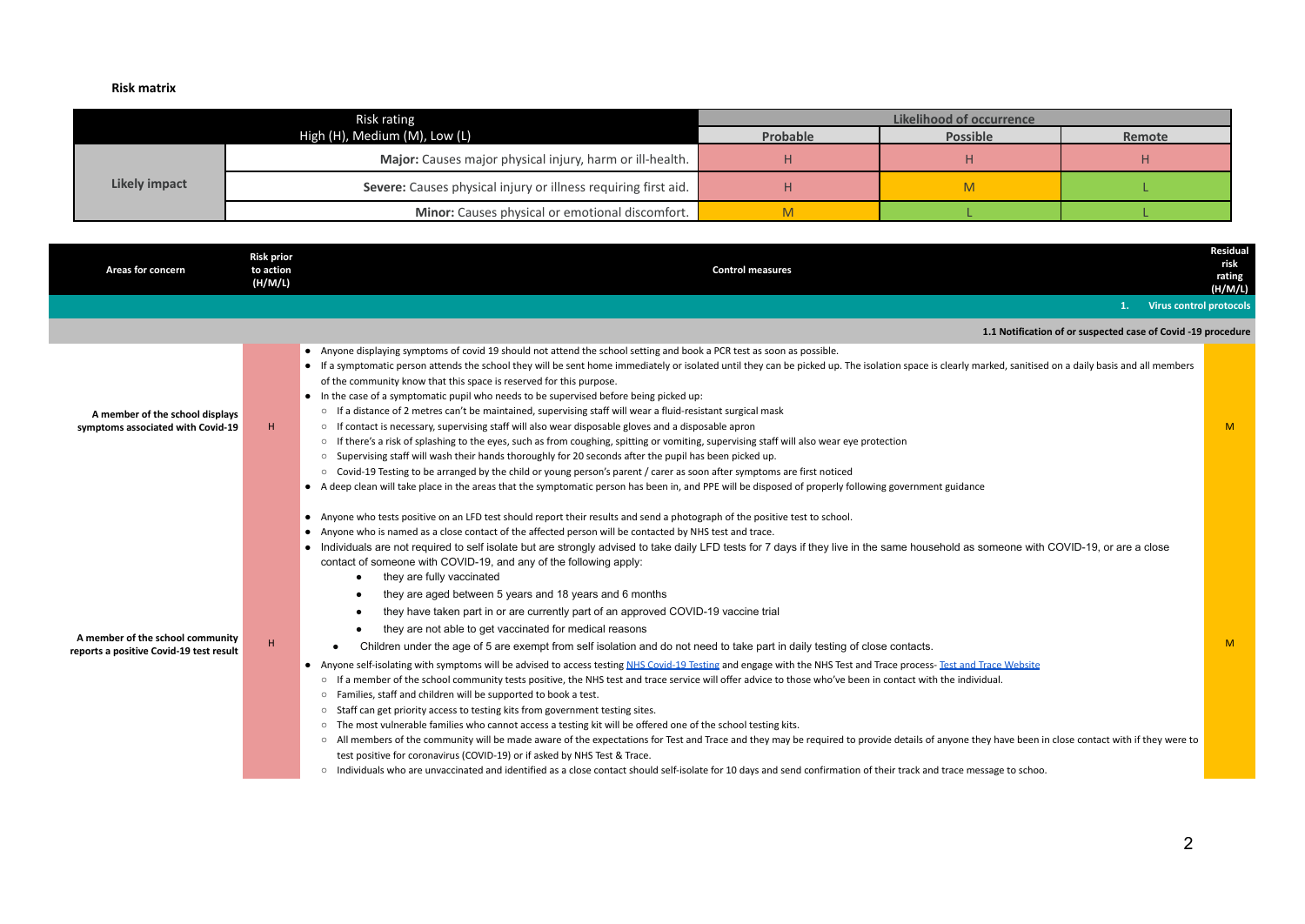### **Risk matrix**

|               | Risk rating                                                    | Likelihood of occurrence |                 |        |  |
|---------------|----------------------------------------------------------------|--------------------------|-----------------|--------|--|
|               | High (H), Medium (M), Low (L)                                  | Probable                 | <b>Possible</b> | Remote |  |
| Likely impact | Major: Causes major physical injury, harm or ill-health.       |                          |                 |        |  |
|               | Severe: Causes physical injury or illness requiring first aid. |                          |                 |        |  |
|               | Minor: Causes physical or emotional discomfort.                |                          |                 |        |  |

| Areas for concern                                                           | <b>Risk prior</b><br>to action<br>(H/M/L) | <b>Control measures</b>                                                                                                                                                                                                                                                                                                                                                                                                                                                                                                                                                                                                                                                                                                                                                                                                                                                                                                                                                                                                                                                                                                                                                                                                                                                                                                                                                                                                                                                                                                                                                                                                                                                                                                                                                                                                                                                                                                                                                   | Residual<br>risk<br>rating<br>(H/M/L) |
|-----------------------------------------------------------------------------|-------------------------------------------|---------------------------------------------------------------------------------------------------------------------------------------------------------------------------------------------------------------------------------------------------------------------------------------------------------------------------------------------------------------------------------------------------------------------------------------------------------------------------------------------------------------------------------------------------------------------------------------------------------------------------------------------------------------------------------------------------------------------------------------------------------------------------------------------------------------------------------------------------------------------------------------------------------------------------------------------------------------------------------------------------------------------------------------------------------------------------------------------------------------------------------------------------------------------------------------------------------------------------------------------------------------------------------------------------------------------------------------------------------------------------------------------------------------------------------------------------------------------------------------------------------------------------------------------------------------------------------------------------------------------------------------------------------------------------------------------------------------------------------------------------------------------------------------------------------------------------------------------------------------------------------------------------------------------------------------------------------------------------|---------------------------------------|
|                                                                             |                                           | <b>Virus control protocols</b>                                                                                                                                                                                                                                                                                                                                                                                                                                                                                                                                                                                                                                                                                                                                                                                                                                                                                                                                                                                                                                                                                                                                                                                                                                                                                                                                                                                                                                                                                                                                                                                                                                                                                                                                                                                                                                                                                                                                            |                                       |
|                                                                             |                                           | 1.1 Notification of or suspected case of Covid -19 procedure                                                                                                                                                                                                                                                                                                                                                                                                                                                                                                                                                                                                                                                                                                                                                                                                                                                                                                                                                                                                                                                                                                                                                                                                                                                                                                                                                                                                                                                                                                                                                                                                                                                                                                                                                                                                                                                                                                              |                                       |
| A member of the school displays<br>symptoms associated with Covid-19        | H.                                        | • Anyone displaying symptoms of covid 19 should not attend the school setting and book a PCR test as soon as possible.<br>• If a symptomatic person attends the school they will be sent home immediately or isolated until they can be picked up. The isolation space is clearly marked, sanitised on a daily basis and all members<br>of the community know that this space is reserved for this purpose.<br>• In the case of a symptomatic pupil who needs to be supervised before being picked up:<br>○ If a distance of 2 metres can't be maintained, supervising staff will wear a fluid-resistant surgical mask<br>o If contact is necessary, supervising staff will also wear disposable gloves and a disposable apron<br>o If there's a risk of splashing to the eyes, such as from coughing, spitting or vomiting, supervising staff will also wear eye protection<br>○ Supervising staff will wash their hands thoroughly for 20 seconds after the pupil has been picked up.<br>o Covid-19 Testing to be arranged by the child or young person's parent / carer as soon after symptoms are first noticed<br>• A deep clean will take place in the areas that the symptomatic person has been in, and PPE will be disposed of properly following government guidance                                                                                                                                                                                                                                                                                                                                                                                                                                                                                                                                                                                                                                                                                            | <b>M</b>                              |
| A member of the school community<br>reports a positive Covid-19 test result | н                                         | Anyone who tests positive on an LFD test should report their results and send a photograph of the positive test to school.<br>Anyone who is named as a close contact of the affected person will be contacted by NHS test and trace.<br>Individuals are not required to self isolate but are strongly advised to take daily LFD tests for 7 days if they live in the same household as someone with COVID-19, or are a close<br>contact of someone with COVID-19, and any of the following apply:<br>they are fully vaccinated<br>they are aged between 5 years and 18 years and 6 months<br>they have taken part in or are currently part of an approved COVID-19 vaccine trial<br>they are not able to get vaccinated for medical reasons<br>Children under the age of 5 are exempt from self isolation and do not need to take part in daily testing of close contacts.<br>Anyone self-isolating with symptoms will be advised to access testing NHS Covid-19 Testing and engage with the NHS Test and Trace process- Test and Trace Website<br>$\bullet$<br>If a member of the school community tests positive, the NHS test and trace service will offer advice to those who've been in contact with the individual.<br>$\circ$<br>o Families, staff and children will be supported to book a test.<br>o Staff can get priority access to testing kits from government testing sites.<br>o The most vulnerable families who cannot access a testing kit will be offered one of the school testing kits.<br>○ All members of the community will be made aware of the expectations for Test and Trace and they may be required to provide details of anyone they have been in close contact with if they were to<br>test positive for coronavirus (COVID-19) or if asked by NHS Test & Trace.<br>o Individuals who are unvaccinated and identified as a close contact should self-isolate for 10 days and send confirmation of their track and trace message to schoo. | <b>M</b>                              |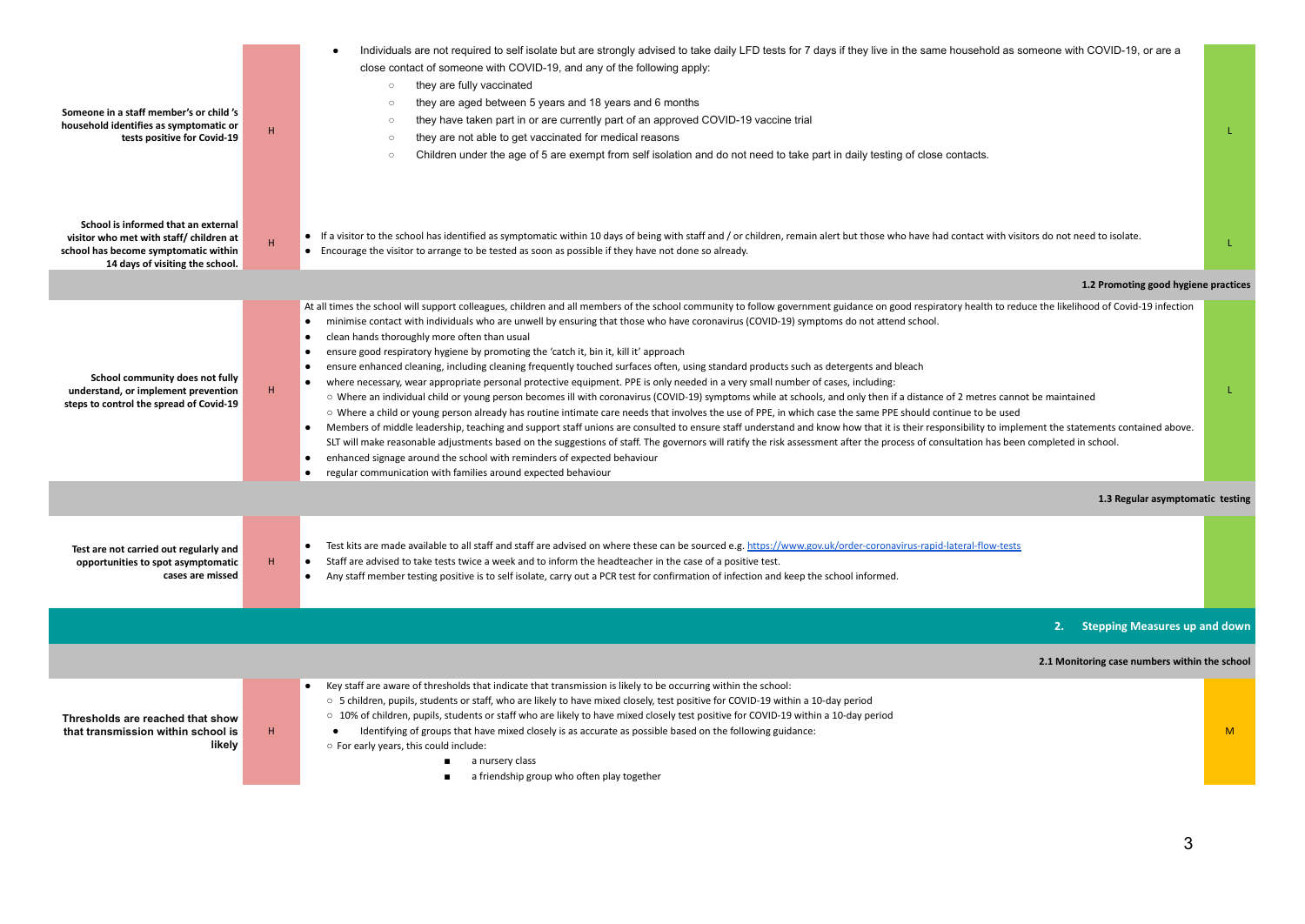| Someone in a staff member's or child 's<br>household identifies as symptomatic or<br>tests positive for Covid-19                                          | H. | Individuals are not required to self isolate but are strongly advised to take daily LFD tests for 7 days if they live in the same household as someone with COVID-19, or are a<br>close contact of someone with COVID-19, and any of the following apply:<br>they are fully vaccinated<br>$\circ$<br>they are aged between 5 years and 18 years and 6 months<br>$\circ$<br>they have taken part in or are currently part of an approved COVID-19 vaccine trial<br>$\circ$<br>they are not able to get vaccinated for medical reasons<br>$\circ$<br>Children under the age of 5 are exempt from self isolation and do not need to take part in daily testing of close contacts.<br>$\circ$                                                                                                                                                                                                                                                                                                                                                                                                                                                                                                                                                                                                                                                                                                                                                                                                                                                                                                                                                                                      |    |
|-----------------------------------------------------------------------------------------------------------------------------------------------------------|----|--------------------------------------------------------------------------------------------------------------------------------------------------------------------------------------------------------------------------------------------------------------------------------------------------------------------------------------------------------------------------------------------------------------------------------------------------------------------------------------------------------------------------------------------------------------------------------------------------------------------------------------------------------------------------------------------------------------------------------------------------------------------------------------------------------------------------------------------------------------------------------------------------------------------------------------------------------------------------------------------------------------------------------------------------------------------------------------------------------------------------------------------------------------------------------------------------------------------------------------------------------------------------------------------------------------------------------------------------------------------------------------------------------------------------------------------------------------------------------------------------------------------------------------------------------------------------------------------------------------------------------------------------------------------------------|----|
| School is informed that an external<br>visitor who met with staff/ children at<br>school has become symptomatic within<br>14 days of visiting the school. | H. | • If a visitor to the school has identified as symptomatic within 10 days of being with staff and / or children, remain alert but those who have had contact with visitors do not need to isolate.<br>• Encourage the visitor to arrange to be tested as soon as possible if they have not done so already.                                                                                                                                                                                                                                                                                                                                                                                                                                                                                                                                                                                                                                                                                                                                                                                                                                                                                                                                                                                                                                                                                                                                                                                                                                                                                                                                                                    |    |
|                                                                                                                                                           |    | 1.2 Promoting good hygiene practices                                                                                                                                                                                                                                                                                                                                                                                                                                                                                                                                                                                                                                                                                                                                                                                                                                                                                                                                                                                                                                                                                                                                                                                                                                                                                                                                                                                                                                                                                                                                                                                                                                           |    |
| School community does not fully<br>understand, or implement prevention<br>steps to control the spread of Covid-19                                         | H. | At all times the school will support colleagues, children and all members of the school community to follow government guidance on good respiratory health to reduce the likelihood of Covid-19 infection<br>minimise contact with individuals who are unwell by ensuring that those who have coronavirus (COVID-19) symptoms do not attend school.<br>clean hands thoroughly more often than usual<br>ensure good respiratory hygiene by promoting the 'catch it, bin it, kill it' approach<br>ensure enhanced cleaning, including cleaning frequently touched surfaces often, using standard products such as detergents and bleach<br>where necessary, wear appropriate personal protective equipment. PPE is only needed in a very small number of cases, including:<br>○ Where an individual child or young person becomes ill with coronavirus (COVID-19) symptoms while at schools, and only then if a distance of 2 metres cannot be maintained<br>O Where a child or young person already has routine intimate care needs that involves the use of PPE, in which case the same PPE should continue to be used<br>Members of middle leadership, teaching and support staff unions are consulted to ensure staff understand and know how that it is their responsibility to implement the statements contained above.<br>$\bullet$<br>SLT will make reasonable adjustments based on the suggestions of staff. The governors will ratify the risk assessment after the process of consultation has been completed in school.<br>enhanced signage around the school with reminders of expected behaviour<br>regular communication with families around expected behaviour | T. |
|                                                                                                                                                           |    | 1.3 Regular asymptomatic testing                                                                                                                                                                                                                                                                                                                                                                                                                                                                                                                                                                                                                                                                                                                                                                                                                                                                                                                                                                                                                                                                                                                                                                                                                                                                                                                                                                                                                                                                                                                                                                                                                                               |    |
| Test are not carried out regularly and<br>opportunities to spot asymptomatic<br>cases are missed                                                          | н. | Test kits are made available to all staff and staff are advised on where these can be sourced e.g. https://www.gov.uk/order-coronavirus-rapid-lateral-flow-tests<br>Staff are advised to take tests twice a week and to inform the headteacher in the case of a positive test.<br>Any staff member testing positive is to self isolate, carry out a PCR test for confirmation of infection and keep the school informed.                                                                                                                                                                                                                                                                                                                                                                                                                                                                                                                                                                                                                                                                                                                                                                                                                                                                                                                                                                                                                                                                                                                                                                                                                                                       |    |
|                                                                                                                                                           |    | 2. Stepping Measures up and down                                                                                                                                                                                                                                                                                                                                                                                                                                                                                                                                                                                                                                                                                                                                                                                                                                                                                                                                                                                                                                                                                                                                                                                                                                                                                                                                                                                                                                                                                                                                                                                                                                               |    |
|                                                                                                                                                           |    | 2.1 Monitoring case numbers within the school                                                                                                                                                                                                                                                                                                                                                                                                                                                                                                                                                                                                                                                                                                                                                                                                                                                                                                                                                                                                                                                                                                                                                                                                                                                                                                                                                                                                                                                                                                                                                                                                                                  |    |
| Thresholds are reached that show<br>that transmission within school is<br>likely                                                                          | н. | Key staff are aware of thresholds that indicate that transmission is likely to be occurring within the school:<br>○ 5 children, pupils, students or staff, who are likely to have mixed closely, test positive for COVID-19 within a 10-day period<br>○ 10% of children, pupils, students or staff who are likely to have mixed closely test positive for COVID-19 within a 10-day period<br>Identifying of groups that have mixed closely is as accurate as possible based on the following guidance:<br>○ For early years, this could include:<br>a nursery class<br>a friendship group who often play together                                                                                                                                                                                                                                                                                                                                                                                                                                                                                                                                                                                                                                                                                                                                                                                                                                                                                                                                                                                                                                                              | M  |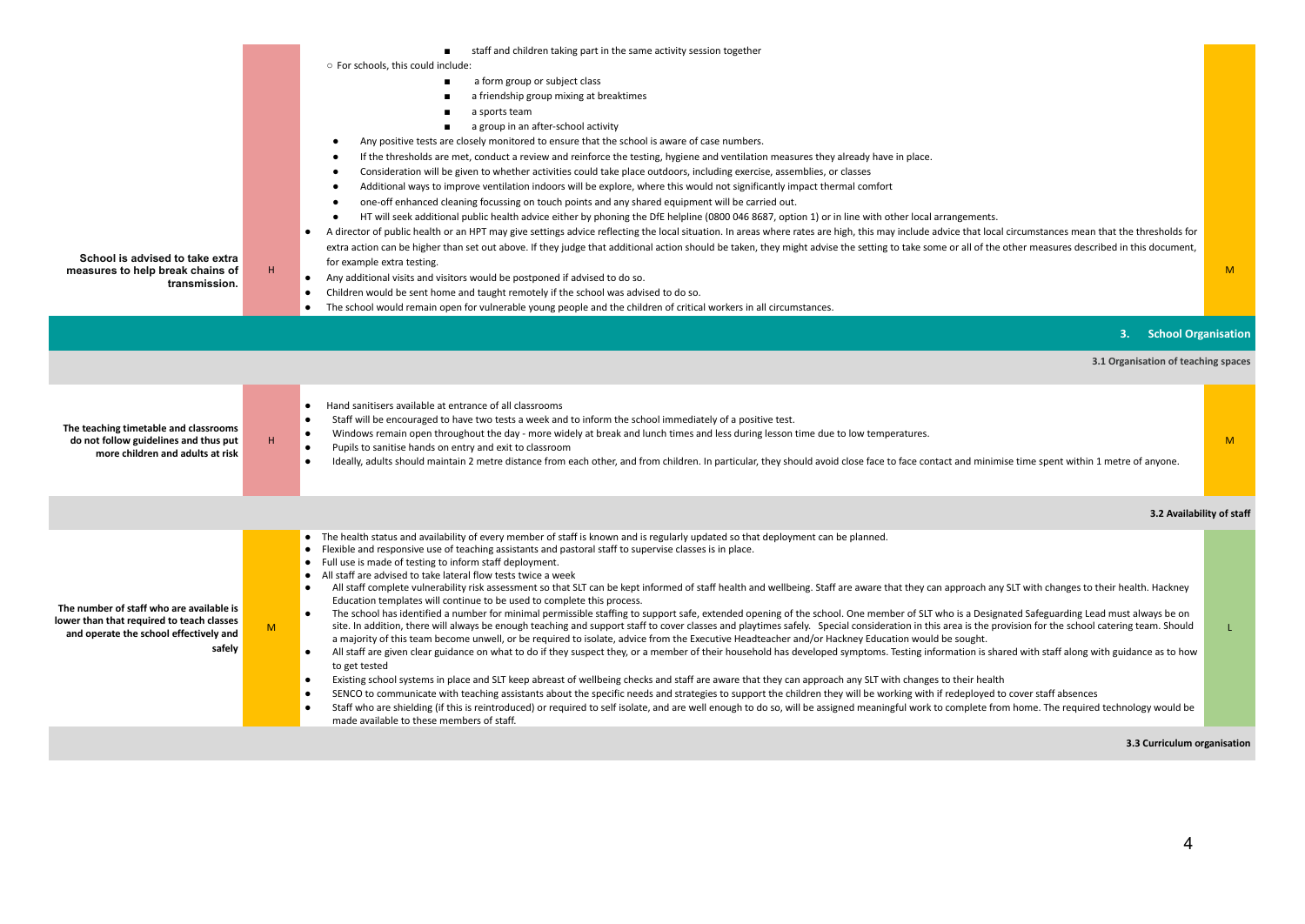|                                                                                                                                           |   | staff and children taking part in the same activity session together                                                                                                                                                                                                                                                                                                                                                                                                                                                                                                                                                                                                                                                                                                                                                                                                                                                                                                                                                                                                                                                                                                                                                                                                                                                                                                                                                                                                                                                                                                                                                                                                                                                                                                                                                                                                                                                                                                                                                                                                                                                    |                           |
|-------------------------------------------------------------------------------------------------------------------------------------------|---|-------------------------------------------------------------------------------------------------------------------------------------------------------------------------------------------------------------------------------------------------------------------------------------------------------------------------------------------------------------------------------------------------------------------------------------------------------------------------------------------------------------------------------------------------------------------------------------------------------------------------------------------------------------------------------------------------------------------------------------------------------------------------------------------------------------------------------------------------------------------------------------------------------------------------------------------------------------------------------------------------------------------------------------------------------------------------------------------------------------------------------------------------------------------------------------------------------------------------------------------------------------------------------------------------------------------------------------------------------------------------------------------------------------------------------------------------------------------------------------------------------------------------------------------------------------------------------------------------------------------------------------------------------------------------------------------------------------------------------------------------------------------------------------------------------------------------------------------------------------------------------------------------------------------------------------------------------------------------------------------------------------------------------------------------------------------------------------------------------------------------|---------------------------|
|                                                                                                                                           |   | ○ For schools, this could include:                                                                                                                                                                                                                                                                                                                                                                                                                                                                                                                                                                                                                                                                                                                                                                                                                                                                                                                                                                                                                                                                                                                                                                                                                                                                                                                                                                                                                                                                                                                                                                                                                                                                                                                                                                                                                                                                                                                                                                                                                                                                                      |                           |
|                                                                                                                                           |   | a form group or subject class                                                                                                                                                                                                                                                                                                                                                                                                                                                                                                                                                                                                                                                                                                                                                                                                                                                                                                                                                                                                                                                                                                                                                                                                                                                                                                                                                                                                                                                                                                                                                                                                                                                                                                                                                                                                                                                                                                                                                                                                                                                                                           |                           |
|                                                                                                                                           |   | a friendship group mixing at breaktimes                                                                                                                                                                                                                                                                                                                                                                                                                                                                                                                                                                                                                                                                                                                                                                                                                                                                                                                                                                                                                                                                                                                                                                                                                                                                                                                                                                                                                                                                                                                                                                                                                                                                                                                                                                                                                                                                                                                                                                                                                                                                                 |                           |
|                                                                                                                                           |   | a sports team                                                                                                                                                                                                                                                                                                                                                                                                                                                                                                                                                                                                                                                                                                                                                                                                                                                                                                                                                                                                                                                                                                                                                                                                                                                                                                                                                                                                                                                                                                                                                                                                                                                                                                                                                                                                                                                                                                                                                                                                                                                                                                           |                           |
|                                                                                                                                           |   | a group in an after-school activity                                                                                                                                                                                                                                                                                                                                                                                                                                                                                                                                                                                                                                                                                                                                                                                                                                                                                                                                                                                                                                                                                                                                                                                                                                                                                                                                                                                                                                                                                                                                                                                                                                                                                                                                                                                                                                                                                                                                                                                                                                                                                     |                           |
|                                                                                                                                           |   | Any positive tests are closely monitored to ensure that the school is aware of case numbers.                                                                                                                                                                                                                                                                                                                                                                                                                                                                                                                                                                                                                                                                                                                                                                                                                                                                                                                                                                                                                                                                                                                                                                                                                                                                                                                                                                                                                                                                                                                                                                                                                                                                                                                                                                                                                                                                                                                                                                                                                            |                           |
|                                                                                                                                           |   | If the thresholds are met, conduct a review and reinforce the testing, hygiene and ventilation measures they already have in place.                                                                                                                                                                                                                                                                                                                                                                                                                                                                                                                                                                                                                                                                                                                                                                                                                                                                                                                                                                                                                                                                                                                                                                                                                                                                                                                                                                                                                                                                                                                                                                                                                                                                                                                                                                                                                                                                                                                                                                                     |                           |
|                                                                                                                                           |   | Consideration will be given to whether activities could take place outdoors, including exercise, assemblies, or classes<br>Additional ways to improve ventilation indoors will be explore, where this would not significantly impact thermal comfort                                                                                                                                                                                                                                                                                                                                                                                                                                                                                                                                                                                                                                                                                                                                                                                                                                                                                                                                                                                                                                                                                                                                                                                                                                                                                                                                                                                                                                                                                                                                                                                                                                                                                                                                                                                                                                                                    |                           |
|                                                                                                                                           |   | one-off enhanced cleaning focussing on touch points and any shared equipment will be carried out.<br>٠                                                                                                                                                                                                                                                                                                                                                                                                                                                                                                                                                                                                                                                                                                                                                                                                                                                                                                                                                                                                                                                                                                                                                                                                                                                                                                                                                                                                                                                                                                                                                                                                                                                                                                                                                                                                                                                                                                                                                                                                                  |                           |
|                                                                                                                                           |   | HT will seek additional public health advice either by phoning the DfE helpline (0800 046 8687, option 1) or in line with other local arrangements.                                                                                                                                                                                                                                                                                                                                                                                                                                                                                                                                                                                                                                                                                                                                                                                                                                                                                                                                                                                                                                                                                                                                                                                                                                                                                                                                                                                                                                                                                                                                                                                                                                                                                                                                                                                                                                                                                                                                                                     |                           |
|                                                                                                                                           |   | A director of public health or an HPT may give settings advice reflecting the local situation. In areas where rates are high, this may include advice that local circumstances mean that the thresholds for<br>$\bullet$                                                                                                                                                                                                                                                                                                                                                                                                                                                                                                                                                                                                                                                                                                                                                                                                                                                                                                                                                                                                                                                                                                                                                                                                                                                                                                                                                                                                                                                                                                                                                                                                                                                                                                                                                                                                                                                                                                |                           |
|                                                                                                                                           |   | extra action can be higher than set out above. If they judge that additional action should be taken, they might advise the setting to take some or all of the other measures described in this document,                                                                                                                                                                                                                                                                                                                                                                                                                                                                                                                                                                                                                                                                                                                                                                                                                                                                                                                                                                                                                                                                                                                                                                                                                                                                                                                                                                                                                                                                                                                                                                                                                                                                                                                                                                                                                                                                                                                |                           |
| School is advised to take extra<br>measures to help break chains of                                                                       | H | for example extra testing.                                                                                                                                                                                                                                                                                                                                                                                                                                                                                                                                                                                                                                                                                                                                                                                                                                                                                                                                                                                                                                                                                                                                                                                                                                                                                                                                                                                                                                                                                                                                                                                                                                                                                                                                                                                                                                                                                                                                                                                                                                                                                              | M                         |
| transmission.                                                                                                                             |   | Any additional visits and visitors would be postponed if advised to do so.                                                                                                                                                                                                                                                                                                                                                                                                                                                                                                                                                                                                                                                                                                                                                                                                                                                                                                                                                                                                                                                                                                                                                                                                                                                                                                                                                                                                                                                                                                                                                                                                                                                                                                                                                                                                                                                                                                                                                                                                                                              |                           |
|                                                                                                                                           |   | Children would be sent home and taught remotely if the school was advised to do so.                                                                                                                                                                                                                                                                                                                                                                                                                                                                                                                                                                                                                                                                                                                                                                                                                                                                                                                                                                                                                                                                                                                                                                                                                                                                                                                                                                                                                                                                                                                                                                                                                                                                                                                                                                                                                                                                                                                                                                                                                                     |                           |
|                                                                                                                                           |   | The school would remain open for vulnerable young people and the children of critical workers in all circumstances.                                                                                                                                                                                                                                                                                                                                                                                                                                                                                                                                                                                                                                                                                                                                                                                                                                                                                                                                                                                                                                                                                                                                                                                                                                                                                                                                                                                                                                                                                                                                                                                                                                                                                                                                                                                                                                                                                                                                                                                                     |                           |
|                                                                                                                                           |   | 3. School Organisation                                                                                                                                                                                                                                                                                                                                                                                                                                                                                                                                                                                                                                                                                                                                                                                                                                                                                                                                                                                                                                                                                                                                                                                                                                                                                                                                                                                                                                                                                                                                                                                                                                                                                                                                                                                                                                                                                                                                                                                                                                                                                                  |                           |
|                                                                                                                                           |   | 3.1 Organisation of teaching spaces                                                                                                                                                                                                                                                                                                                                                                                                                                                                                                                                                                                                                                                                                                                                                                                                                                                                                                                                                                                                                                                                                                                                                                                                                                                                                                                                                                                                                                                                                                                                                                                                                                                                                                                                                                                                                                                                                                                                                                                                                                                                                     |                           |
| The teaching timetable and classrooms<br>do not follow guidelines and thus put<br>more children and adults at risk                        | H | Hand sanitisers available at entrance of all classrooms<br>Staff will be encouraged to have two tests a week and to inform the school immediately of a positive test.<br>$\bullet$<br>Windows remain open throughout the day - more widely at break and lunch times and less during lesson time due to low temperatures.<br>$\bullet$<br>Pupils to sanitise hands on entry and exit to classroom<br>$\bullet$<br>Ideally, adults should maintain 2 metre distance from each other, and from children. In particular, they should avoid close face to face contact and minimise time spent within 1 metre of anyone.<br>$\bullet$                                                                                                                                                                                                                                                                                                                                                                                                                                                                                                                                                                                                                                                                                                                                                                                                                                                                                                                                                                                                                                                                                                                                                                                                                                                                                                                                                                                                                                                                                        | M                         |
|                                                                                                                                           |   |                                                                                                                                                                                                                                                                                                                                                                                                                                                                                                                                                                                                                                                                                                                                                                                                                                                                                                                                                                                                                                                                                                                                                                                                                                                                                                                                                                                                                                                                                                                                                                                                                                                                                                                                                                                                                                                                                                                                                                                                                                                                                                                         | 3.2 Availability of staff |
| The number of staff who are available is<br>lower than that required to teach classes<br>and operate the school effectively and<br>safely | M | • The health status and availability of every member of staff is known and is regularly updated so that deployment can be planned.<br>• Flexible and responsive use of teaching assistants and pastoral staff to supervise classes is in place.<br>• Full use is made of testing to inform staff deployment.<br>• All staff are advised to take lateral flow tests twice a week<br>All staff complete vulnerability risk assessment so that SLT can be kept informed of staff health and wellbeing. Staff are aware that they can approach any SLT with changes to their health. Hackney<br>$\bullet$<br>Education templates will continue to be used to complete this process.<br>The school has identified a number for minimal permissible staffing to support safe, extended opening of the school. One member of SLT who is a Designated Safeguarding Lead must always be on<br>$\bullet$<br>site. In addition, there will always be enough teaching and support staff to cover classes and playtimes safely. Special consideration in this area is the provision for the school catering team. Should<br>a majority of this team become unwell, or be required to isolate, advice from the Executive Headteacher and/or Hackney Education would be sought.<br>All staff are given clear guidance on what to do if they suspect they, or a member of their household has developed symptoms. Testing information is shared with staff along with guidance as to how<br>$\bullet$<br>to get tested<br>Existing school systems in place and SLT keep abreast of wellbeing checks and staff are aware that they can approach any SLT with changes to their health<br>$\bullet$<br>SENCO to communicate with teaching assistants about the specific needs and strategies to support the children they will be working with if redeployed to cover staff absences<br>Staff who are shielding (if this is reintroduced) or required to self isolate, and are well enough to do so, will be assigned meaningful work to complete from home. The required technology would be<br>made available to these members of staff. | L                         |
|                                                                                                                                           |   | 3.3 Curriculum organisation                                                                                                                                                                                                                                                                                                                                                                                                                                                                                                                                                                                                                                                                                                                                                                                                                                                                                                                                                                                                                                                                                                                                                                                                                                                                                                                                                                                                                                                                                                                                                                                                                                                                                                                                                                                                                                                                                                                                                                                                                                                                                             |                           |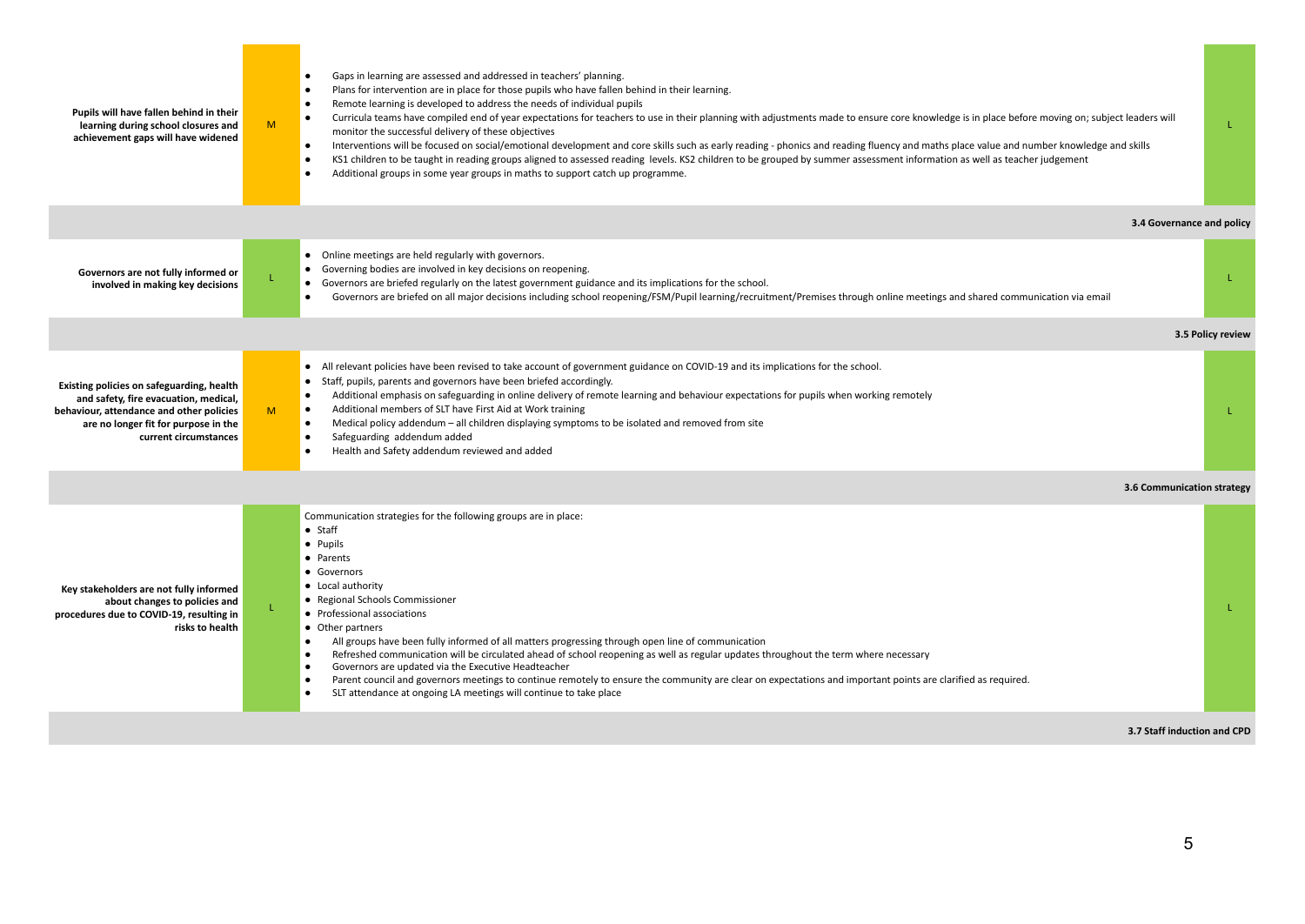| Pupils will have fallen behind in their<br>learning during school closures and<br>achievement gaps will have widened                                                                            | M  | Gaps in learning are assessed and addressed in teachers' planning.<br>$\bullet$<br>Plans for intervention are in place for those pupils who have fallen behind in their learning.<br>$\bullet$<br>Remote learning is developed to address the needs of individual pupils<br>$\bullet$<br>$\bullet$<br>Curricula teams have compiled end of year expectations for teachers to use in their planning with adjustments made to ensure core knowledge is in place before moving on; subject leaders will<br>monitor the successful delivery of these objectives<br>Interventions will be focused on social/emotional development and core skills such as early reading - phonics and reading fluency and maths place value and number knowledge and skills<br>$\bullet$<br>KS1 children to be taught in reading groups aligned to assessed reading levels. KS2 children to be grouped by summer assessment information as well as teacher judgement<br>Additional groups in some year groups in maths to support catch up programme. | T.                          |
|-------------------------------------------------------------------------------------------------------------------------------------------------------------------------------------------------|----|----------------------------------------------------------------------------------------------------------------------------------------------------------------------------------------------------------------------------------------------------------------------------------------------------------------------------------------------------------------------------------------------------------------------------------------------------------------------------------------------------------------------------------------------------------------------------------------------------------------------------------------------------------------------------------------------------------------------------------------------------------------------------------------------------------------------------------------------------------------------------------------------------------------------------------------------------------------------------------------------------------------------------------|-----------------------------|
|                                                                                                                                                                                                 |    |                                                                                                                                                                                                                                                                                                                                                                                                                                                                                                                                                                                                                                                                                                                                                                                                                                                                                                                                                                                                                                  | 3.4 Governance and policy   |
| Governors are not fully informed or<br>involved in making key decisions                                                                                                                         |    | • Online meetings are held regularly with governors.<br>• Governing bodies are involved in key decisions on reopening.<br>• Governors are briefed regularly on the latest government guidance and its implications for the school.<br>Governors are briefed on all major decisions including school reopening/FSM/Pupil learning/recruitment/Premises through online meetings and shared communication via email                                                                                                                                                                                                                                                                                                                                                                                                                                                                                                                                                                                                                 |                             |
|                                                                                                                                                                                                 |    |                                                                                                                                                                                                                                                                                                                                                                                                                                                                                                                                                                                                                                                                                                                                                                                                                                                                                                                                                                                                                                  | 3.5 Policy review           |
| Existing policies on safeguarding, health<br>and safety, fire evacuation, medical,<br>behaviour, attendance and other policies<br>are no longer fit for purpose in the<br>current circumstances | M. | • All relevant policies have been revised to take account of government guidance on COVID-19 and its implications for the school.<br>• Staff, pupils, parents and governors have been briefed accordingly.<br>Additional emphasis on safeguarding in online delivery of remote learning and behaviour expectations for pupils when working remotely<br>$\bullet$<br>Additional members of SLT have First Aid at Work training<br>$\bullet$<br>Medical policy addendum – all children displaying symptoms to be isolated and removed from site<br>$\bullet$<br>Safeguarding addendum added<br>$\bullet$<br>Health and Safety addendum reviewed and added                                                                                                                                                                                                                                                                                                                                                                          | T.                          |
|                                                                                                                                                                                                 |    |                                                                                                                                                                                                                                                                                                                                                                                                                                                                                                                                                                                                                                                                                                                                                                                                                                                                                                                                                                                                                                  | 3.6 Communication strategy  |
| Key stakeholders are not fully informed<br>about changes to policies and<br>procedures due to COVID-19, resulting in<br>risks to health                                                         |    | Communication strategies for the following groups are in place:<br>$\bullet$ Staff<br>• Pupils<br>• Parents<br>• Governors<br>• Local authority<br>• Regional Schools Commissioner<br>• Professional associations<br>• Other partners<br>All groups have been fully informed of all matters progressing through open line of communication<br>$\bullet$<br>Refreshed communication will be circulated ahead of school reopening as well as regular updates throughout the term where necessary<br>Governors are updated via the Executive Headteacher<br>$\bullet$<br>Parent council and governors meetings to continue remotely to ensure the community are clear on expectations and important points are clarified as required.<br>SLT attendance at ongoing LA meetings will continue to take place                                                                                                                                                                                                                          | T.                          |
|                                                                                                                                                                                                 |    |                                                                                                                                                                                                                                                                                                                                                                                                                                                                                                                                                                                                                                                                                                                                                                                                                                                                                                                                                                                                                                  | 3.7 Staff induction and CPD |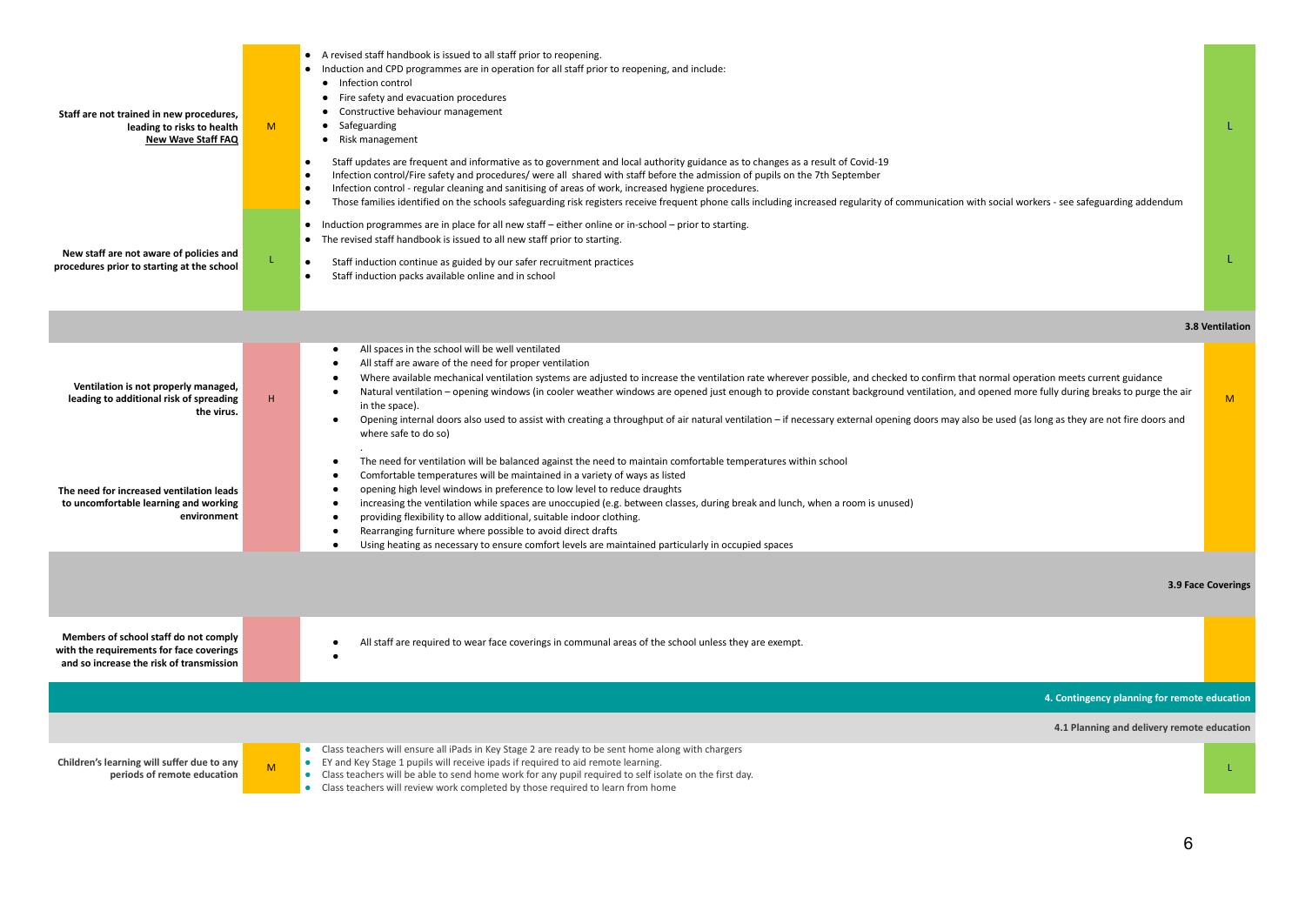| Staff are not trained in new procedures,<br>leading to risks to health<br><b>New Wave Staff FAQ</b><br>New staff are not aware of policies and<br>procedures prior to starting at the school      | M<br>L. | • A revised staff handbook is issued to all staff prior to reopening.<br>• Induction and CPD programmes are in operation for all staff prior to reopening, and include:<br>• Infection control<br>• Fire safety and evacuation procedures<br>• Constructive behaviour management<br>• Safeguarding<br>• Risk management<br>$\bullet$<br>Staff updates are frequent and informative as to government and local authority guidance as to changes as a result of Covid-19<br>Infection control/Fire safety and procedures/ were all shared with staff before the admission of pupils on the 7th September<br>Infection control - regular cleaning and sanitising of areas of work, increased hygiene procedures.<br>Those families identified on the schools safeguarding risk registers receive frequent phone calls including increased regularity of communication with social workers - see safeguarding addendum<br>$\bullet$<br>• Induction programmes are in place for all new staff – either online or in-school – prior to starting.<br>• The revised staff handbook is issued to all new staff prior to starting.<br>Staff induction continue as guided by our safer recruitment practices<br>Staff induction packs available online and in school<br>$\bullet$                                    | L.<br>L.           |
|---------------------------------------------------------------------------------------------------------------------------------------------------------------------------------------------------|---------|-----------------------------------------------------------------------------------------------------------------------------------------------------------------------------------------------------------------------------------------------------------------------------------------------------------------------------------------------------------------------------------------------------------------------------------------------------------------------------------------------------------------------------------------------------------------------------------------------------------------------------------------------------------------------------------------------------------------------------------------------------------------------------------------------------------------------------------------------------------------------------------------------------------------------------------------------------------------------------------------------------------------------------------------------------------------------------------------------------------------------------------------------------------------------------------------------------------------------------------------------------------------------------------------------------------|--------------------|
|                                                                                                                                                                                                   |         |                                                                                                                                                                                                                                                                                                                                                                                                                                                                                                                                                                                                                                                                                                                                                                                                                                                                                                                                                                                                                                                                                                                                                                                                                                                                                                           | 3.8 Ventilation    |
| Ventilation is not properly managed,<br>leading to additional risk of spreading<br>the virus.<br>The need for increased ventilation leads<br>to uncomfortable learning and working<br>environment | Η.      | All spaces in the school will be well ventilated<br>All staff are aware of the need for proper ventilation<br>Where available mechanical ventilation systems are adjusted to increase the ventilation rate wherever possible, and checked to confirm that normal operation meets current guidance<br>Natural ventilation - opening windows (in cooler weather windows are opened just enough to provide constant background ventilation, and opened more fully during breaks to purge the air<br>in the space).<br>Opening internal doors also used to assist with creating a throughput of air natural ventilation - if necessary external opening doors may also be used (as long as they are not fire doors and<br>where safe to do so)<br>The need for ventilation will be balanced against the need to maintain comfortable temperatures within school<br>Comfortable temperatures will be maintained in a variety of ways as listed<br>opening high level windows in preference to low level to reduce draughts<br>increasing the ventilation while spaces are unoccupied (e.g. between classes, during break and lunch, when a room is unused)<br>providing flexibility to allow additional, suitable indoor clothing.<br>$\bullet$<br>Rearranging furniture where possible to avoid direct drafts | M <sub>1</sub>     |
|                                                                                                                                                                                                   |         | Using heating as necessary to ensure comfort levels are maintained particularly in occupied spaces                                                                                                                                                                                                                                                                                                                                                                                                                                                                                                                                                                                                                                                                                                                                                                                                                                                                                                                                                                                                                                                                                                                                                                                                        | 3.9 Face Coverings |
| Members of school staff do not comply<br>with the requirements for face coverings<br>and so increase the risk of transmission                                                                     |         | All staff are required to wear face coverings in communal areas of the school unless they are exempt.                                                                                                                                                                                                                                                                                                                                                                                                                                                                                                                                                                                                                                                                                                                                                                                                                                                                                                                                                                                                                                                                                                                                                                                                     |                    |
|                                                                                                                                                                                                   |         | 4. Contingency planning for remote education                                                                                                                                                                                                                                                                                                                                                                                                                                                                                                                                                                                                                                                                                                                                                                                                                                                                                                                                                                                                                                                                                                                                                                                                                                                              |                    |
|                                                                                                                                                                                                   |         | 4.1 Planning and delivery remote education                                                                                                                                                                                                                                                                                                                                                                                                                                                                                                                                                                                                                                                                                                                                                                                                                                                                                                                                                                                                                                                                                                                                                                                                                                                                |                    |
| Children's learning will suffer due to any<br>periods of remote education                                                                                                                         | M       | • Class teachers will ensure all iPads in Key Stage 2 are ready to be sent home along with chargers<br>• EY and Key Stage 1 pupils will receive ipads if required to aid remote learning.<br>• Class teachers will be able to send home work for any pupil required to self isolate on the first day.<br>• Class teachers will review work completed by those required to learn from home                                                                                                                                                                                                                                                                                                                                                                                                                                                                                                                                                                                                                                                                                                                                                                                                                                                                                                                 | L.                 |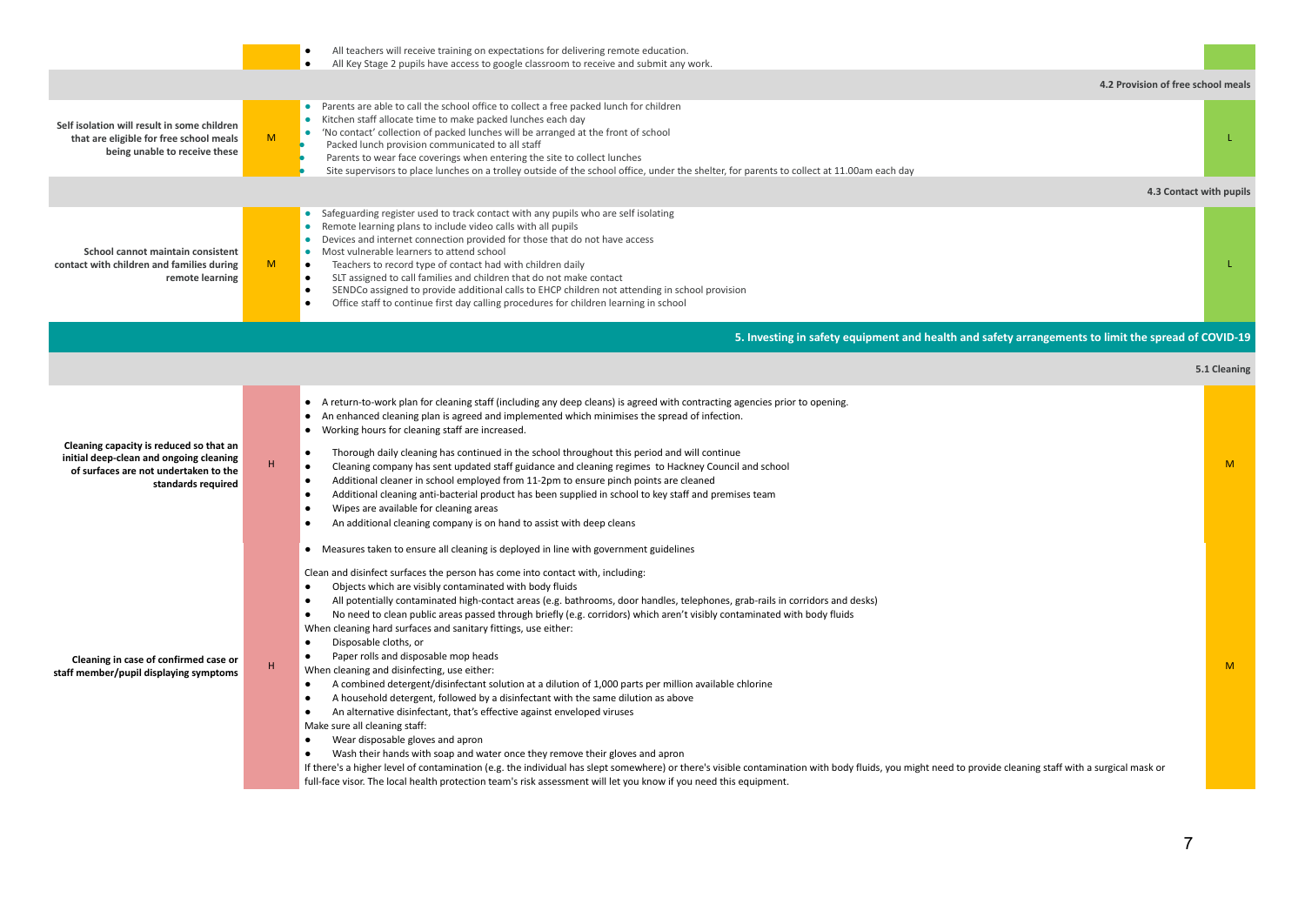|                                                                                                                                                   |                | All teachers will receive training on expectations for delivering remote education.<br>All Key Stage 2 pupils have access to google classroom to receive and submit any work.<br>$\bullet$                                                                                                                                                                                                                                                                                                                                                                                                                                                                                                                                                                                                                                                                                                                                                                                                                                                                                                                                                                                                                                                                                                                                                                                                                                                                                                           |                         |
|---------------------------------------------------------------------------------------------------------------------------------------------------|----------------|------------------------------------------------------------------------------------------------------------------------------------------------------------------------------------------------------------------------------------------------------------------------------------------------------------------------------------------------------------------------------------------------------------------------------------------------------------------------------------------------------------------------------------------------------------------------------------------------------------------------------------------------------------------------------------------------------------------------------------------------------------------------------------------------------------------------------------------------------------------------------------------------------------------------------------------------------------------------------------------------------------------------------------------------------------------------------------------------------------------------------------------------------------------------------------------------------------------------------------------------------------------------------------------------------------------------------------------------------------------------------------------------------------------------------------------------------------------------------------------------------|-------------------------|
|                                                                                                                                                   |                | 4.2 Provision of free school meals                                                                                                                                                                                                                                                                                                                                                                                                                                                                                                                                                                                                                                                                                                                                                                                                                                                                                                                                                                                                                                                                                                                                                                                                                                                                                                                                                                                                                                                                   |                         |
| Self isolation will result in some children<br>that are eligible for free school meals<br>being unable to receive these                           | M              | • Parents are able to call the school office to collect a free packed lunch for children<br>• Kitchen staff allocate time to make packed lunches each day<br>• 'No contact' collection of packed lunches will be arranged at the front of school<br>Packed lunch provision communicated to all staff<br>Parents to wear face coverings when entering the site to collect lunches<br>Site supervisors to place lunches on a trolley outside of the school office, under the shelter, for parents to collect at 11.00am each day                                                                                                                                                                                                                                                                                                                                                                                                                                                                                                                                                                                                                                                                                                                                                                                                                                                                                                                                                                       | L                       |
|                                                                                                                                                   |                |                                                                                                                                                                                                                                                                                                                                                                                                                                                                                                                                                                                                                                                                                                                                                                                                                                                                                                                                                                                                                                                                                                                                                                                                                                                                                                                                                                                                                                                                                                      | 4.3 Contact with pupils |
| School cannot maintain consistent<br>contact with children and families during<br>remote learning                                                 | M <sub>1</sub> | • Safeguarding register used to track contact with any pupils who are self isolating<br>• Remote learning plans to include video calls with all pupils<br>• Devices and internet connection provided for those that do not have access<br>• Most vulnerable learners to attend school<br>Teachers to record type of contact had with children daily<br>SLT assigned to call families and children that do not make contact<br>$\bullet$<br>SENDCo assigned to provide additional calls to EHCP children not attending in school provision<br>Office staff to continue first day calling procedures for children learning in school                                                                                                                                                                                                                                                                                                                                                                                                                                                                                                                                                                                                                                                                                                                                                                                                                                                                   | T.                      |
|                                                                                                                                                   |                | 5. Investing in safety equipment and health and safety arrangements to limit the spread of COVID-19                                                                                                                                                                                                                                                                                                                                                                                                                                                                                                                                                                                                                                                                                                                                                                                                                                                                                                                                                                                                                                                                                                                                                                                                                                                                                                                                                                                                  |                         |
|                                                                                                                                                   |                |                                                                                                                                                                                                                                                                                                                                                                                                                                                                                                                                                                                                                                                                                                                                                                                                                                                                                                                                                                                                                                                                                                                                                                                                                                                                                                                                                                                                                                                                                                      | 5.1 Cleaning            |
| Cleaning capacity is reduced so that an<br>initial deep-clean and ongoing cleaning<br>of surfaces are not undertaken to the<br>standards required | н              | • A return-to-work plan for cleaning staff (including any deep cleans) is agreed with contracting agencies prior to opening.<br>An enhanced cleaning plan is agreed and implemented which minimises the spread of infection.<br>Working hours for cleaning staff are increased.<br>Thorough daily cleaning has continued in the school throughout this period and will continue<br>Cleaning company has sent updated staff guidance and cleaning regimes to Hackney Council and school<br>Additional cleaner in school employed from 11-2pm to ensure pinch points are cleaned<br>Additional cleaning anti-bacterial product has been supplied in school to key staff and premises team<br>$\bullet$<br>Wipes are available for cleaning areas<br>An additional cleaning company is on hand to assist with deep cleans                                                                                                                                                                                                                                                                                                                                                                                                                                                                                                                                                                                                                                                                               | M                       |
| Cleaning in case of confirmed case or<br>staff member/pupil displaying symptoms                                                                   | н              | Measures taken to ensure all cleaning is deployed in line with government guidelines<br>Clean and disinfect surfaces the person has come into contact with, including:<br>Objects which are visibly contaminated with body fluids<br>$\bullet$<br>All potentially contaminated high-contact areas (e.g. bathrooms, door handles, telephones, grab-rails in corridors and desks)<br>No need to clean public areas passed through briefly (e.g. corridors) which aren't visibly contaminated with body fluids<br>When cleaning hard surfaces and sanitary fittings, use either:<br>Disposable cloths, or<br>$\bullet$<br>Paper rolls and disposable mop heads<br>When cleaning and disinfecting, use either:<br>A combined detergent/disinfectant solution at a dilution of 1,000 parts per million available chlorine<br>$\bullet$<br>A household detergent, followed by a disinfectant with the same dilution as above<br>$\bullet$<br>An alternative disinfectant, that's effective against enveloped viruses<br>Make sure all cleaning staff:<br>Wear disposable gloves and apron<br>Wash their hands with soap and water once they remove their gloves and apron<br>If there's a higher level of contamination (e.g. the individual has slept somewhere) or there's visible contamination with body fluids, you might need to provide cleaning staff with a surgical mask or<br>full-face visor. The local health protection team's risk assessment will let you know if you need this equipment. | M                       |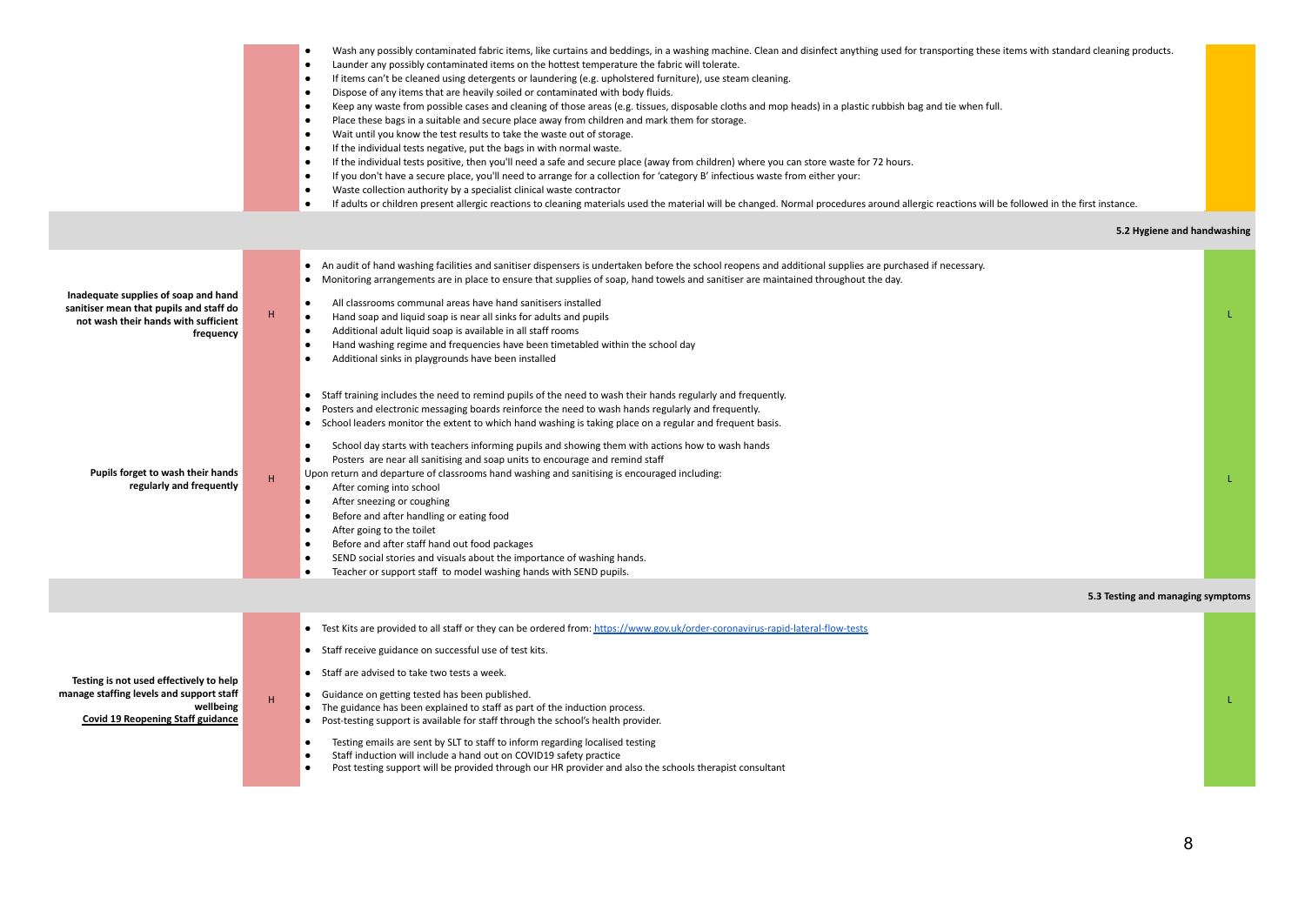|                                                                                                                                              |    | Wash any possibly contaminated fabric items, like curtains and beddings, in a washing machine. Clean and disinfect anything used for transporting these items with standard cleaning products.<br>$\bullet$<br>Launder any possibly contaminated items on the hottest temperature the fabric will tolerate.<br>$\bullet$<br>$\bullet$<br>If items can't be cleaned using detergents or laundering (e.g. upholstered furniture), use steam cleaning.<br>Dispose of any items that are heavily soiled or contaminated with body fluids.<br>$\bullet$<br>Keep any waste from possible cases and cleaning of those areas (e.g. tissues, disposable cloths and mop heads) in a plastic rubbish bag and tie when full.<br>$\bullet$<br>Place these bags in a suitable and secure place away from children and mark them for storage.<br>Wait until you know the test results to take the waste out of storage.<br>$\bullet$<br>$\bullet$<br>If the individual tests negative, put the bags in with normal waste.<br>If the individual tests positive, then you'll need a safe and secure place (away from children) where you can store waste for 72 hours.<br>$\bullet$<br>If you don't have a secure place, you'll need to arrange for a collection for 'category B' infectious waste from either your:<br>$\bullet$<br>Waste collection authority by a specialist clinical waste contractor<br>$\bullet$<br>If adults or children present allergic reactions to cleaning materials used the material will be changed. Normal procedures around allergic reactions will be followed in the first instance.<br>$\bullet$ |  |
|----------------------------------------------------------------------------------------------------------------------------------------------|----|---------------------------------------------------------------------------------------------------------------------------------------------------------------------------------------------------------------------------------------------------------------------------------------------------------------------------------------------------------------------------------------------------------------------------------------------------------------------------------------------------------------------------------------------------------------------------------------------------------------------------------------------------------------------------------------------------------------------------------------------------------------------------------------------------------------------------------------------------------------------------------------------------------------------------------------------------------------------------------------------------------------------------------------------------------------------------------------------------------------------------------------------------------------------------------------------------------------------------------------------------------------------------------------------------------------------------------------------------------------------------------------------------------------------------------------------------------------------------------------------------------------------------------------------------------------------------------------------------------------------|--|
|                                                                                                                                              |    | 5.2 Hygiene and handwashing                                                                                                                                                                                                                                                                                                                                                                                                                                                                                                                                                                                                                                                                                                                                                                                                                                                                                                                                                                                                                                                                                                                                                                                                                                                                                                                                                                                                                                                                                                                                                                                         |  |
| Inadequate supplies of soap and hand<br>sanitiser mean that pupils and staff do<br>not wash their hands with sufficient<br>frequency         | Η. | An audit of hand washing facilities and sanitiser dispensers is undertaken before the school reopens and additional supplies are purchased if necessary.<br>$\bullet$<br>Monitoring arrangements are in place to ensure that supplies of soap, hand towels and sanitiser are maintained throughout the day.<br>$\bullet$<br>All classrooms communal areas have hand sanitisers installed<br>$\bullet$<br>Hand soap and liquid soap is near all sinks for adults and pupils<br>$\bullet$<br>Additional adult liquid soap is available in all staff rooms<br>Hand washing regime and frequencies have been timetabled within the school day<br>$\bullet$                                                                                                                                                                                                                                                                                                                                                                                                                                                                                                                                                                                                                                                                                                                                                                                                                                                                                                                                                              |  |
| Pupils forget to wash their hands<br>regularly and frequently                                                                                | H  | $\bullet$<br>Additional sinks in playgrounds have been installed<br>Staff training includes the need to remind pupils of the need to wash their hands regularly and frequently.<br>$\bullet$<br>Posters and electronic messaging boards reinforce the need to wash hands regularly and frequently.<br>$\bullet$<br>School leaders monitor the extent to which hand washing is taking place on a regular and frequent basis.<br>$\bullet$<br>School day starts with teachers informing pupils and showing them with actions how to wash hands<br>$\bullet$<br>Posters are near all sanitising and soap units to encourage and remind staff<br>$\bullet$<br>Upon return and departure of classrooms hand washing and sanitising is encouraged including:<br>After coming into school<br>$\bullet$<br>After sneezing or coughing<br>Before and after handling or eating food<br>$\bullet$<br>$\bullet$<br>After going to the toilet<br>Before and after staff hand out food packages<br>$\bullet$<br>SEND social stories and visuals about the importance of washing hands.<br>$\bullet$<br>Teacher or support staff to model washing hands with SEND pupils.                                                                                                                                                                                                                                                                                                                                                                                                                                                          |  |
|                                                                                                                                              |    | 5.3 Testing and managing symptoms                                                                                                                                                                                                                                                                                                                                                                                                                                                                                                                                                                                                                                                                                                                                                                                                                                                                                                                                                                                                                                                                                                                                                                                                                                                                                                                                                                                                                                                                                                                                                                                   |  |
| Testing is not used effectively to help<br>manage staffing levels and support staff<br>wellbeing<br><b>Covid 19 Reopening Staff guidance</b> | H  | Test Kits are provided to all staff or they can be ordered from: https://www.gov.uk/order-coronavirus-rapid-lateral-flow-tests<br>$\bullet$<br>• Staff receive guidance on successful use of test kits.<br>• Staff are advised to take two tests a week.<br>Guidance on getting tested has been published.<br>$\bullet$<br>The guidance has been explained to staff as part of the induction process.<br>$\bullet$<br>Post-testing support is available for staff through the school's health provider.<br>$\bullet$<br>Testing emails are sent by SLT to staff to inform regarding localised testing<br>$\bullet$<br>Staff induction will include a hand out on COVID19 safety practice<br>Post testing support will be provided through our HR provider and also the schools therapist consultant                                                                                                                                                                                                                                                                                                                                                                                                                                                                                                                                                                                                                                                                                                                                                                                                                 |  |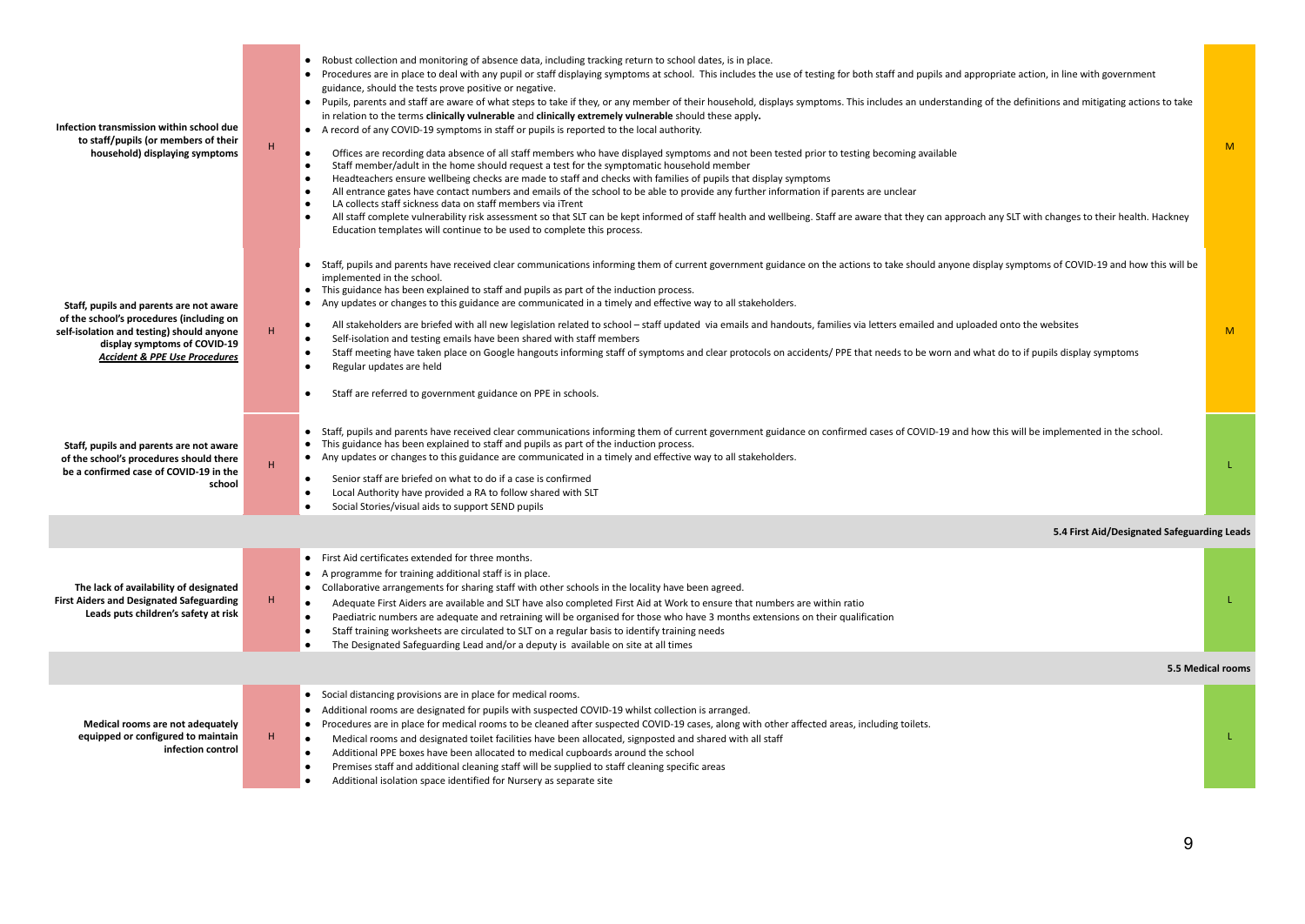| Infection transmission within school due<br>to staff/pupils (or members of their<br>household) displaying symptoms                                                                                           | $\mathsf H$ | Robust collection and monitoring of absence data, including tracking return to school dates, is in place.<br>• Procedures are in place to deal with any pupil or staff displaying symptoms at school. This includes the use of testing for both staff and pupils and appropriate action, in line with government<br>guidance, should the tests prove positive or negative.<br>Pupils, parents and staff are aware of what steps to take if they, or any member of their household, displays symptoms. This includes an understanding of the definitions and mitigating actions to take<br>in relation to the terms clinically vulnerable and clinically extremely vulnerable should these apply.<br>• A record of any COVID-19 symptoms in staff or pupils is reported to the local authority.<br>Offices are recording data absence of all staff members who have displayed symptoms and not been tested prior to testing becoming available<br>$\bullet$<br>Staff member/adult in the home should request a test for the symptomatic household member<br>$\bullet$<br>Headteachers ensure wellbeing checks are made to staff and checks with families of pupils that display symptoms<br>All entrance gates have contact numbers and emails of the school to be able to provide any further information if parents are unclear<br>$\bullet$<br>LA collects staff sickness data on staff members via iTrent<br>All staff complete vulnerability risk assessment so that SLT can be kept informed of staff health and wellbeing. Staff are aware that they can approach any SLT with changes to their health. Hackney<br>Education templates will continue to be used to complete this process. | M                 |
|--------------------------------------------------------------------------------------------------------------------------------------------------------------------------------------------------------------|-------------|-------------------------------------------------------------------------------------------------------------------------------------------------------------------------------------------------------------------------------------------------------------------------------------------------------------------------------------------------------------------------------------------------------------------------------------------------------------------------------------------------------------------------------------------------------------------------------------------------------------------------------------------------------------------------------------------------------------------------------------------------------------------------------------------------------------------------------------------------------------------------------------------------------------------------------------------------------------------------------------------------------------------------------------------------------------------------------------------------------------------------------------------------------------------------------------------------------------------------------------------------------------------------------------------------------------------------------------------------------------------------------------------------------------------------------------------------------------------------------------------------------------------------------------------------------------------------------------------------------------------------------------------------------------------------------------------------|-------------------|
| Staff, pupils and parents are not aware<br>of the school's procedures (including on<br>self-isolation and testing) should anyone<br>display symptoms of COVID-19<br><b>Accident &amp; PPE Use Procedures</b> | H           | Staff, pupils and parents have received clear communications informing them of current government guidance on the actions to take should anyone display symptoms of COVID-19 and how this will be<br>implemented in the school.<br>• This guidance has been explained to staff and pupils as part of the induction process.<br>• Any updates or changes to this guidance are communicated in a timely and effective way to all stakeholders.<br>All stakeholders are briefed with all new legislation related to school - staff updated via emails and handouts, families via letters emailed and uploaded onto the websites<br>Self-isolation and testing emails have been shared with staff members<br>$\bullet$<br>Staff meeting have taken place on Google hangouts informing staff of symptoms and clear protocols on accidents/PPE that needs to be worn and what do to if pupils display symptoms<br>$\bullet$<br>Regular updates are held<br>$\bullet$<br>Staff are referred to government guidance on PPE in schools.<br>$\bullet$                                                                                                                                                                                                                                                                                                                                                                                                                                                                                                                                                                                                                                                     | M                 |
| Staff, pupils and parents are not aware<br>of the school's procedures should there<br>be a confirmed case of COVID-19 in the<br>school                                                                       | H           | • Staff, pupils and parents have received clear communications informing them of current government guidance on confirmed cases of COVID-19 and how this will be implemented in the school.<br>This guidance has been explained to staff and pupils as part of the induction process.<br>• Any updates or changes to this guidance are communicated in a timely and effective way to all stakeholders.<br>Senior staff are briefed on what to do if a case is confirmed<br>Local Authority have provided a RA to follow shared with SLT<br>Social Stories/visual aids to support SEND pupils                                                                                                                                                                                                                                                                                                                                                                                                                                                                                                                                                                                                                                                                                                                                                                                                                                                                                                                                                                                                                                                                                                    | L                 |
|                                                                                                                                                                                                              |             | 5.4 First Aid/Designated Safeguarding Leads                                                                                                                                                                                                                                                                                                                                                                                                                                                                                                                                                                                                                                                                                                                                                                                                                                                                                                                                                                                                                                                                                                                                                                                                                                                                                                                                                                                                                                                                                                                                                                                                                                                     |                   |
| The lack of availability of designated<br><b>First Aiders and Designated Safeguarding</b><br>Leads puts children's safety at risk                                                                            | H           | First Aid certificates extended for three months.<br>• A programme for training additional staff is in place.<br>Collaborative arrangements for sharing staff with other schools in the locality have been agreed.<br>$\bullet$<br>Adequate First Aiders are available and SLT have also completed First Aid at Work to ensure that numbers are within ratio<br>$\bullet$<br>Paediatric numbers are adequate and retraining will be organised for those who have 3 months extensions on their qualification<br>Staff training worksheets are circulated to SLT on a regular basis to identify training needs<br>$\bullet$<br>The Designated Safeguarding Lead and/or a deputy is available on site at all times                                                                                                                                                                                                                                                                                                                                                                                                                                                                                                                                                                                                                                                                                                                                                                                                                                                                                                                                                                                 | L                 |
|                                                                                                                                                                                                              |             |                                                                                                                                                                                                                                                                                                                                                                                                                                                                                                                                                                                                                                                                                                                                                                                                                                                                                                                                                                                                                                                                                                                                                                                                                                                                                                                                                                                                                                                                                                                                                                                                                                                                                                 | 5.5 Medical rooms |
| Medical rooms are not adequately<br>equipped or configured to maintain<br>infection control                                                                                                                  | H           | • Social distancing provisions are in place for medical rooms.<br>• Additional rooms are designated for pupils with suspected COVID-19 whilst collection is arranged.<br>Procedures are in place for medical rooms to be cleaned after suspected COVID-19 cases, along with other affected areas, including toilets.<br>$\bullet$<br>Medical rooms and designated toilet facilities have been allocated, signposted and shared with all staff<br>$\bullet$<br>Additional PPE boxes have been allocated to medical cupboards around the school<br>$\bullet$<br>Premises staff and additional cleaning staff will be supplied to staff cleaning specific areas<br>$\bullet$<br>Additional isolation space identified for Nursery as separate site                                                                                                                                                                                                                                                                                                                                                                                                                                                                                                                                                                                                                                                                                                                                                                                                                                                                                                                                                 | т                 |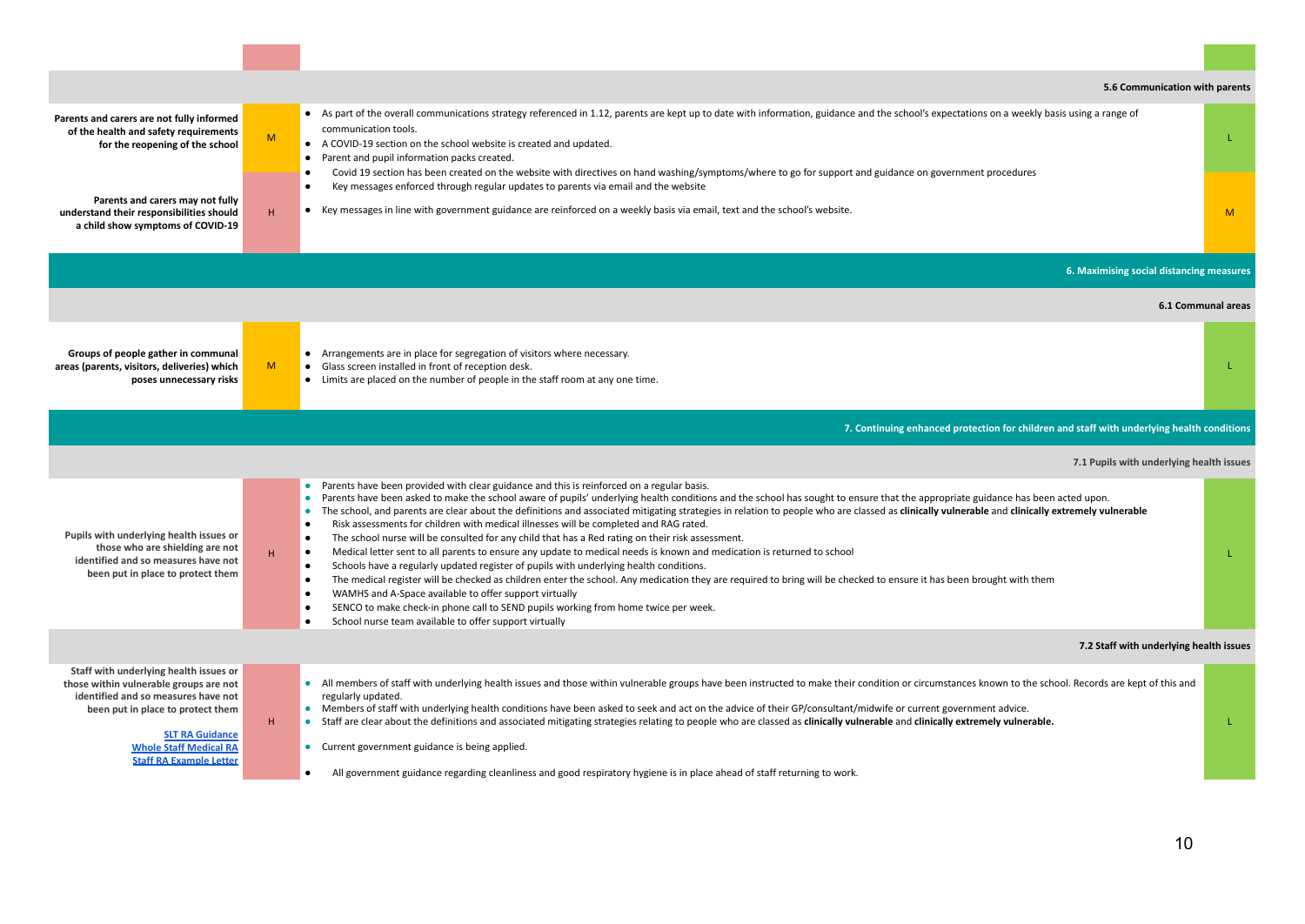|                                                                                                                                                                                                                                                           |   | 5.6 Communication with parents                                                                                                                                                                                                                                                                                                                                                                                                                                                                                                                                                                                                                                                                                                                                                                                                                                                                                                                                                                                                                                                                                                                                                                                                                                                                                                                                                |                    |
|-----------------------------------------------------------------------------------------------------------------------------------------------------------------------------------------------------------------------------------------------------------|---|-------------------------------------------------------------------------------------------------------------------------------------------------------------------------------------------------------------------------------------------------------------------------------------------------------------------------------------------------------------------------------------------------------------------------------------------------------------------------------------------------------------------------------------------------------------------------------------------------------------------------------------------------------------------------------------------------------------------------------------------------------------------------------------------------------------------------------------------------------------------------------------------------------------------------------------------------------------------------------------------------------------------------------------------------------------------------------------------------------------------------------------------------------------------------------------------------------------------------------------------------------------------------------------------------------------------------------------------------------------------------------|--------------------|
| Parents and carers are not fully informed<br>of the health and safety requirements<br>for the reopening of the school                                                                                                                                     | M | • As part of the overall communications strategy referenced in 1.12, parents are kept up to date with information, guidance and the school's expectations on a weekly basis using a range of<br>communication tools.<br>A COVID-19 section on the school website is created and updated.<br>Parent and pupil information packs created.<br>$\bullet$<br>Covid 19 section has been created on the website with directives on hand washing/symptoms/where to go for support and guidance on government procedures                                                                                                                                                                                                                                                                                                                                                                                                                                                                                                                                                                                                                                                                                                                                                                                                                                                               | L                  |
| Parents and carers may not fully<br>understand their responsibilities should<br>a child show symptoms of COVID-19                                                                                                                                         | H | Key messages enforced through regular updates to parents via email and the website<br>• Key messages in line with government guidance are reinforced on a weekly basis via email, text and the school's website.                                                                                                                                                                                                                                                                                                                                                                                                                                                                                                                                                                                                                                                                                                                                                                                                                                                                                                                                                                                                                                                                                                                                                              | M                  |
|                                                                                                                                                                                                                                                           |   | 6. Maximising social distancing measures                                                                                                                                                                                                                                                                                                                                                                                                                                                                                                                                                                                                                                                                                                                                                                                                                                                                                                                                                                                                                                                                                                                                                                                                                                                                                                                                      |                    |
|                                                                                                                                                                                                                                                           |   |                                                                                                                                                                                                                                                                                                                                                                                                                                                                                                                                                                                                                                                                                                                                                                                                                                                                                                                                                                                                                                                                                                                                                                                                                                                                                                                                                                               | 6.1 Communal areas |
| Groups of people gather in communal<br>areas (parents, visitors, deliveries) which<br>poses unnecessary risks                                                                                                                                             | M | Arrangements are in place for segregation of visitors where necessary.<br>• Glass screen installed in front of reception desk.<br>• Limits are placed on the number of people in the staff room at any one time.                                                                                                                                                                                                                                                                                                                                                                                                                                                                                                                                                                                                                                                                                                                                                                                                                                                                                                                                                                                                                                                                                                                                                              | L                  |
|                                                                                                                                                                                                                                                           |   | 7. Continuing enhanced protection for children and staff with underlying health conditions                                                                                                                                                                                                                                                                                                                                                                                                                                                                                                                                                                                                                                                                                                                                                                                                                                                                                                                                                                                                                                                                                                                                                                                                                                                                                    |                    |
|                                                                                                                                                                                                                                                           |   | 7.1 Pupils with underlying health issues                                                                                                                                                                                                                                                                                                                                                                                                                                                                                                                                                                                                                                                                                                                                                                                                                                                                                                                                                                                                                                                                                                                                                                                                                                                                                                                                      |                    |
| Pupils with underlying health issues or<br>those who are shielding are not<br>identified and so measures have not<br>been put in place to protect them                                                                                                    | H | Parents have been provided with clear guidance and this is reinforced on a regular basis.<br>$\bullet$<br>Parents have been asked to make the school aware of pupils' underlying health conditions and the school has sought to ensure that the appropriate guidance has been acted upon.<br>$\bullet$<br>The school, and parents are clear about the definitions and associated mitigating strategies in relation to people who are classed as clinically vulnerable and clinically extremely vulnerable<br>$\bullet$<br>Risk assessments for children with medical illnesses will be completed and RAG rated.<br>The school nurse will be consulted for any child that has a Red rating on their risk assessment.<br>$\bullet$<br>Medical letter sent to all parents to ensure any update to medical needs is known and medication is returned to school<br>$\bullet$<br>Schools have a regularly updated register of pupils with underlying health conditions.<br>$\bullet$<br>The medical register will be checked as children enter the school. Any medication they are required to bring will be checked to ensure it has been brought with them<br>$\bullet$<br>WAMHS and A-Space available to offer support virtually<br>SENCO to make check-in phone call to SEND pupils working from home twice per week.<br>School nurse team available to offer support virtually | L                  |
|                                                                                                                                                                                                                                                           |   | 7.2 Staff with underlying health issues                                                                                                                                                                                                                                                                                                                                                                                                                                                                                                                                                                                                                                                                                                                                                                                                                                                                                                                                                                                                                                                                                                                                                                                                                                                                                                                                       |                    |
| Staff with underlying health issues or<br>those within vulnerable groups are not<br>identified and so measures have not<br>been put in place to protect them<br><b>SLT RA Guidance</b><br><b>Whole Staff Medical RA</b><br><b>Staff RA Example Letter</b> | H | All members of staff with underlying health issues and those within vulnerable groups have been instructed to make their condition or circumstances known to the school. Records are kept of this and<br>regularly updated.<br>• Members of staff with underlying health conditions have been asked to seek and act on the advice of their GP/consultant/midwife or current government advice.<br>Staff are clear about the definitions and associated mitigating strategies relating to people who are classed as clinically vulnerable and clinically extremely vulnerable.<br>• Current government guidance is being applied.<br>All government guidance regarding cleanliness and good respiratory hygiene is in place ahead of staff returning to work.                                                                                                                                                                                                                                                                                                                                                                                                                                                                                                                                                                                                                  | L                  |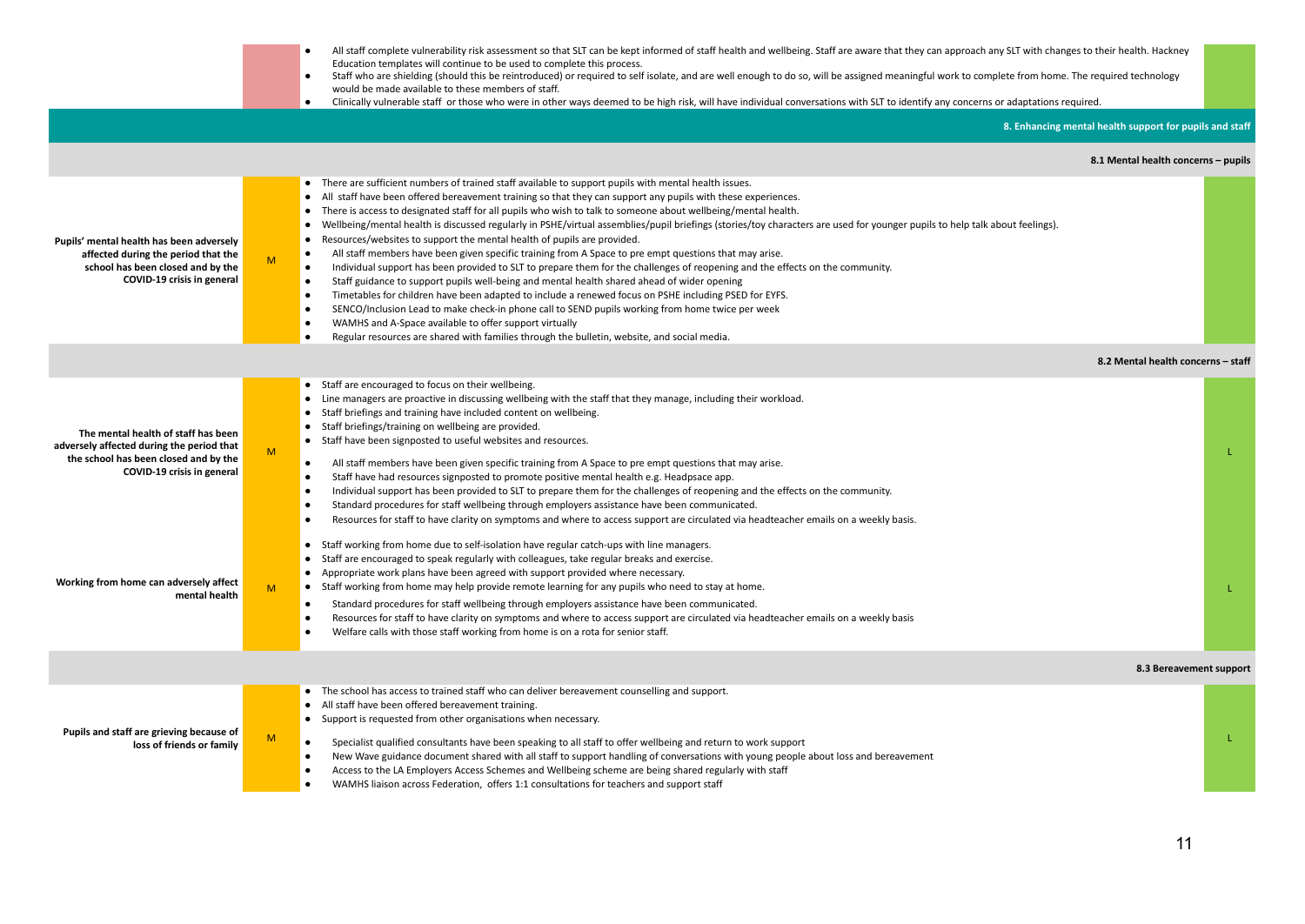|                                                                                                                                                         |   | All staff complete vulnerability risk assessment so that SLT can be kept informed of staff health and wellbeing. Staff are aware that they can approach any SLT with changes to their health. Hackney<br>Education templates will continue to be used to complete this process.<br>Staff who are shielding (should this be reintroduced) or required to self isolate, and are well enough to do so, will be assigned meaningful work to complete from home. The required technology<br>would be made available to these members of staff.<br>Clinically vulnerable staff or those who were in other ways deemed to be high risk, will have individual conversations with SLT to identify any concerns or adaptations required.                                                                                                                                                                                                                                                                                                                                                                                                                                                                                                                                                                                                                                                                                     |    |
|---------------------------------------------------------------------------------------------------------------------------------------------------------|---|--------------------------------------------------------------------------------------------------------------------------------------------------------------------------------------------------------------------------------------------------------------------------------------------------------------------------------------------------------------------------------------------------------------------------------------------------------------------------------------------------------------------------------------------------------------------------------------------------------------------------------------------------------------------------------------------------------------------------------------------------------------------------------------------------------------------------------------------------------------------------------------------------------------------------------------------------------------------------------------------------------------------------------------------------------------------------------------------------------------------------------------------------------------------------------------------------------------------------------------------------------------------------------------------------------------------------------------------------------------------------------------------------------------------|----|
|                                                                                                                                                         |   | 8. Enhancing mental health support for pupils and staff                                                                                                                                                                                                                                                                                                                                                                                                                                                                                                                                                                                                                                                                                                                                                                                                                                                                                                                                                                                                                                                                                                                                                                                                                                                                                                                                                            |    |
|                                                                                                                                                         |   | 8.1 Mental health concerns - pupils                                                                                                                                                                                                                                                                                                                                                                                                                                                                                                                                                                                                                                                                                                                                                                                                                                                                                                                                                                                                                                                                                                                                                                                                                                                                                                                                                                                |    |
| Pupils' mental health has been adversely<br>affected during the period that the<br>school has been closed and by the<br>COVID-19 crisis in general      | M | • There are sufficient numbers of trained staff available to support pupils with mental health issues.<br>• All staff have been offered bereavement training so that they can support any pupils with these experiences.<br>• There is access to designated staff for all pupils who wish to talk to someone about wellbeing/mental health.<br>• Wellbeing/mental health is discussed regularly in PSHE/virtual assemblies/pupil briefings (stories/toy characters are used for younger pupils to help talk about feelings).<br>Resources/websites to support the mental health of pupils are provided.<br>All staff members have been given specific training from A Space to pre empt questions that may arise.<br>$\bullet$<br>Individual support has been provided to SLT to prepare them for the challenges of reopening and the effects on the community.<br>$\bullet$<br>Staff guidance to support pupils well-being and mental health shared ahead of wider opening<br>$\bullet$<br>Timetables for children have been adapted to include a renewed focus on PSHE including PSED for EYFS.<br>$\bullet$<br>SENCO/Inclusion Lead to make check-in phone call to SEND pupils working from home twice per week<br>$\bullet$<br>WAMHS and A-Space available to offer support virtually<br>$\bullet$<br>Regular resources are shared with families through the bulletin, website, and social media.<br>$\bullet$ |    |
|                                                                                                                                                         |   | 8.2 Mental health concerns - staff                                                                                                                                                                                                                                                                                                                                                                                                                                                                                                                                                                                                                                                                                                                                                                                                                                                                                                                                                                                                                                                                                                                                                                                                                                                                                                                                                                                 |    |
| The mental health of staff has been<br>adversely affected during the period that<br>the school has been closed and by the<br>COVID-19 crisis in general | M | • Staff are encouraged to focus on their wellbeing.<br>• Line managers are proactive in discussing wellbeing with the staff that they manage, including their workload.<br>• Staff briefings and training have included content on wellbeing.<br>• Staff briefings/training on wellbeing are provided.<br>• Staff have been signposted to useful websites and resources.<br>All staff members have been given specific training from A Space to pre empt questions that may arise.<br>$\bullet$<br>$\bullet$<br>Staff have had resources signposted to promote positive mental health e.g. Headpsace app.<br>Individual support has been provided to SLT to prepare them for the challenges of reopening and the effects on the community.<br>$\bullet$<br>Standard procedures for staff wellbeing through employers assistance have been communicated.<br>$\bullet$<br>Resources for staff to have clarity on symptoms and where to access support are circulated via headteacher emails on a weekly basis.<br>$\bullet$                                                                                                                                                                                                                                                                                                                                                                                          |    |
| Working from home can adversely affect<br>mental health                                                                                                 | M | Staff working from home due to self-isolation have regular catch-ups with line managers.<br>$\bullet$<br>• Staff are encouraged to speak regularly with colleagues, take regular breaks and exercise.<br>• Appropriate work plans have been agreed with support provided where necessary.<br>• Staff working from home may help provide remote learning for any pupils who need to stay at home.<br>Standard procedures for staff wellbeing through employers assistance have been communicated.<br>$\bullet$<br>Resources for staff to have clarity on symptoms and where to access support are circulated via headteacher emails on a weekly basis<br>Welfare calls with those staff working from home is on a rota for senior staff.<br>$\bullet$                                                                                                                                                                                                                                                                                                                                                                                                                                                                                                                                                                                                                                                               | T. |
|                                                                                                                                                         |   | 8.3 Bereavement support                                                                                                                                                                                                                                                                                                                                                                                                                                                                                                                                                                                                                                                                                                                                                                                                                                                                                                                                                                                                                                                                                                                                                                                                                                                                                                                                                                                            |    |
| Pupils and staff are grieving because of<br>loss of friends or family                                                                                   | M | • The school has access to trained staff who can deliver bereavement counselling and support.<br>• All staff have been offered bereavement training.<br>• Support is requested from other organisations when necessary.<br>$\bullet$<br>Specialist qualified consultants have been speaking to all staff to offer wellbeing and return to work support<br>New Wave guidance document shared with all staff to support handling of conversations with young people about loss and bereavement<br>$\bullet$<br>Access to the LA Employers Access Schemes and Wellbeing scheme are being shared regularly with staff<br>$\bullet$<br>WAMHS liaison across Federation, offers 1:1 consultations for teachers and support staff<br>$\bullet$                                                                                                                                                                                                                                                                                                                                                                                                                                                                                                                                                                                                                                                                            |    |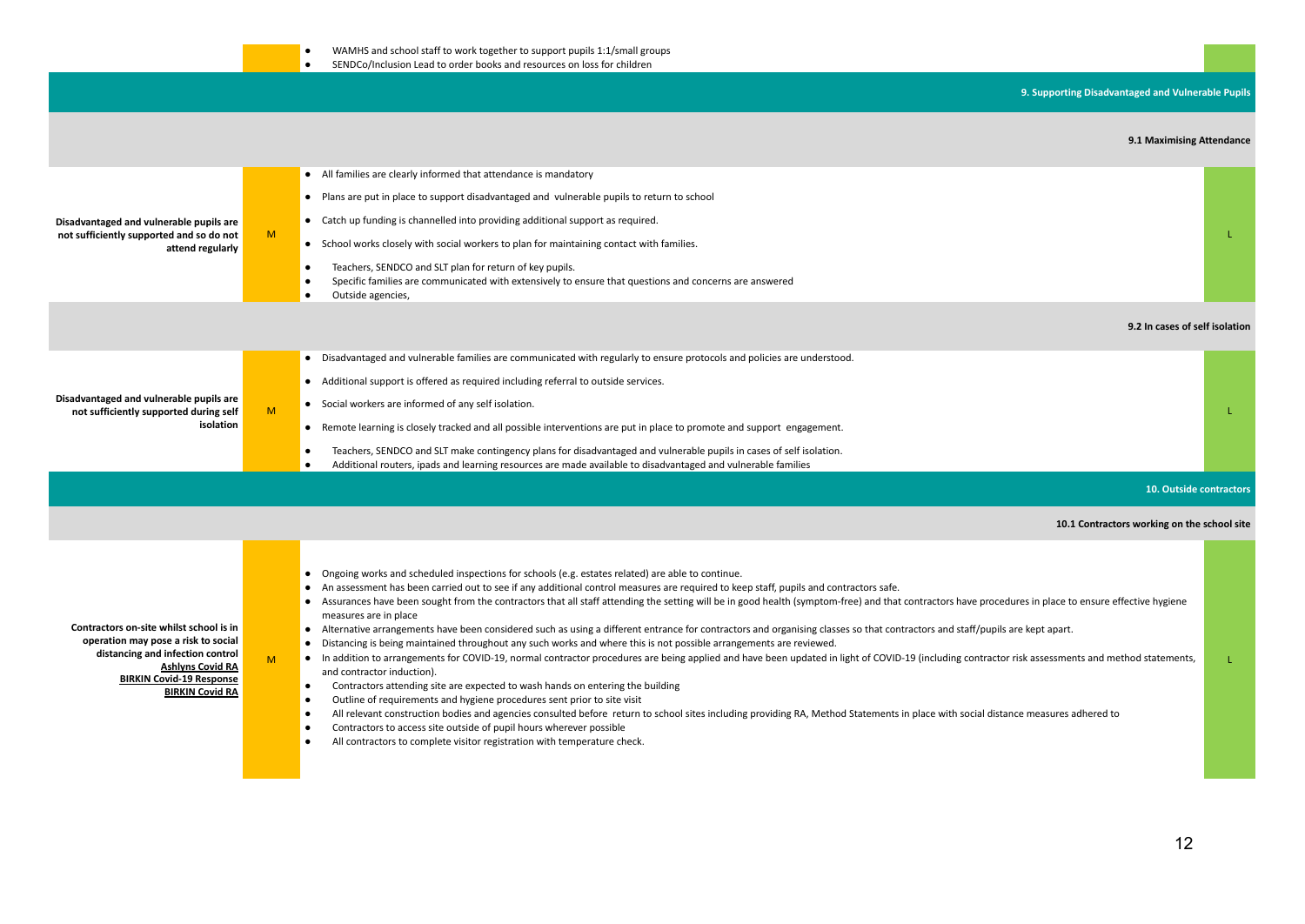## **9. Supporting Disadvantaged and Vulnerable Pupils**

#### **9.1 Maximising Attendance**

|                                                                                                                                                                                                            |   | 9.1 Maximising Attendance                                                                                                                                                                                                                                                                                                                                                                                                                                                                                                                                                                                                                                                                                                                                                                                                                                                                                                                                                                                                                                                                                                                                                                                                                                                                                                                                                                                                                                                                                                                                                                        |    |
|------------------------------------------------------------------------------------------------------------------------------------------------------------------------------------------------------------|---|--------------------------------------------------------------------------------------------------------------------------------------------------------------------------------------------------------------------------------------------------------------------------------------------------------------------------------------------------------------------------------------------------------------------------------------------------------------------------------------------------------------------------------------------------------------------------------------------------------------------------------------------------------------------------------------------------------------------------------------------------------------------------------------------------------------------------------------------------------------------------------------------------------------------------------------------------------------------------------------------------------------------------------------------------------------------------------------------------------------------------------------------------------------------------------------------------------------------------------------------------------------------------------------------------------------------------------------------------------------------------------------------------------------------------------------------------------------------------------------------------------------------------------------------------------------------------------------------------|----|
| Disadvantaged and vulnerable pupils are<br>not sufficiently supported and so do not<br>attend regularly                                                                                                    | M | • All families are clearly informed that attendance is mandatory<br>• Plans are put in place to support disadvantaged and vulnerable pupils to return to school<br>• Catch up funding is channelled into providing additional support as required.<br>• School works closely with social workers to plan for maintaining contact with families.<br>Teachers, SENDCO and SLT plan for return of key pupils.<br>٠<br>Specific families are communicated with extensively to ensure that questions and concerns are answered<br>Outside agencies,                                                                                                                                                                                                                                                                                                                                                                                                                                                                                                                                                                                                                                                                                                                                                                                                                                                                                                                                                                                                                                                   | L  |
|                                                                                                                                                                                                            |   | 9.2 In cases of self isolation                                                                                                                                                                                                                                                                                                                                                                                                                                                                                                                                                                                                                                                                                                                                                                                                                                                                                                                                                                                                                                                                                                                                                                                                                                                                                                                                                                                                                                                                                                                                                                   |    |
| Disadvantaged and vulnerable pupils are<br>not sufficiently supported during self<br>isolation                                                                                                             | M | • Disadvantaged and vulnerable families are communicated with regularly to ensure protocols and policies are understood.<br>• Additional support is offered as required including referral to outside services.<br>• Social workers are informed of any self isolation.<br>• Remote learning is closely tracked and all possible interventions are put in place to promote and support engagement.<br>Teachers, SENDCO and SLT make contingency plans for disadvantaged and vulnerable pupils in cases of self isolation.<br>٠<br>Additional routers, ipads and learning resources are made available to disadvantaged and vulnerable families                                                                                                                                                                                                                                                                                                                                                                                                                                                                                                                                                                                                                                                                                                                                                                                                                                                                                                                                                   |    |
|                                                                                                                                                                                                            |   | 10. Outside contractors                                                                                                                                                                                                                                                                                                                                                                                                                                                                                                                                                                                                                                                                                                                                                                                                                                                                                                                                                                                                                                                                                                                                                                                                                                                                                                                                                                                                                                                                                                                                                                          |    |
|                                                                                                                                                                                                            |   | 10.1 Contractors working on the school site                                                                                                                                                                                                                                                                                                                                                                                                                                                                                                                                                                                                                                                                                                                                                                                                                                                                                                                                                                                                                                                                                                                                                                                                                                                                                                                                                                                                                                                                                                                                                      |    |
| Contractors on-site whilst school is in<br>operation may pose a risk to social<br>distancing and infection control<br><b>Ashlyns Covid RA</b><br><b>BIRKIN Covid-19 Response</b><br><b>BIRKIN Covid RA</b> | M | Ongoing works and scheduled inspections for schools (e.g. estates related) are able to continue.<br>• An assessment has been carried out to see if any additional control measures are required to keep staff, pupils and contractors safe.<br>Assurances have been sought from the contractors that all staff attending the setting will be in good health (symptom-free) and that contractors have procedures in place to ensure effective hygiene<br>measures are in place<br>• Alternative arrangements have been considered such as using a different entrance for contractors and organising classes so that contractors and staff/pupils are kept apart.<br>Distancing is being maintained throughout any such works and where this is not possible arrangements are reviewed.<br>$\bullet$<br>• In addition to arrangements for COVID-19, normal contractor procedures are being applied and have been updated in light of COVID-19 (including contractor risk assessments and method statements,<br>and contractor induction).<br>Contractors attending site are expected to wash hands on entering the building<br>$\bullet$<br>Outline of requirements and hygiene procedures sent prior to site visit<br>$\bullet$<br>All relevant construction bodies and agencies consulted before return to school sites including providing RA, Method Statements in place with social distance measures adhered to<br>$\bullet$<br>Contractors to access site outside of pupil hours wherever possible<br>$\bullet$<br>All contractors to complete visitor registration with temperature check. | T. |